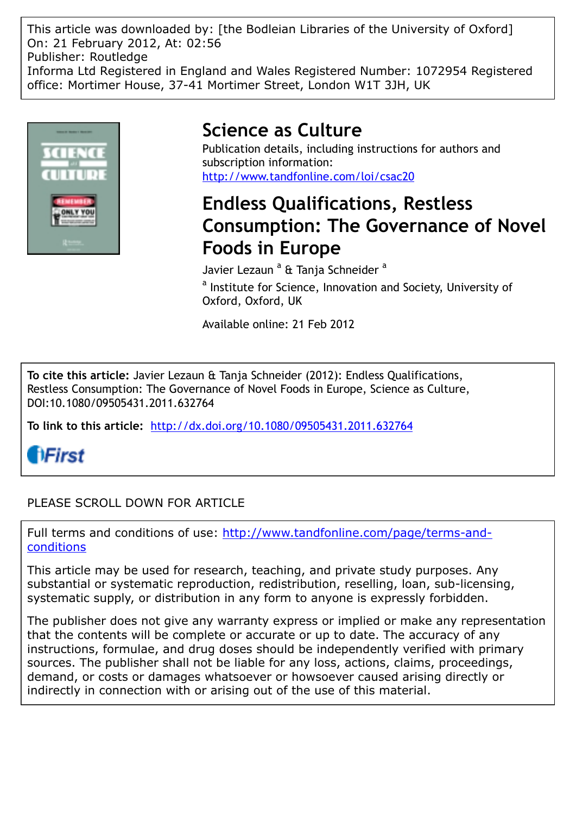This article was downloaded by: [the Bodleian Libraries of the University of Oxford] On: 21 February 2012, At: 02:56 Publisher: Routledge Informa Ltd Registered in England and Wales Registered Number: 1072954 Registered office: Mortimer House, 37-41 Mortimer Street, London W1T 3JH, UK



## **Science as Culture**

Publication details, including instructions for authors and subscription information: http://www.tandfonline.com/loi/csac20

# **Endless Qualifications, Restless Consumption: The Governance of Novel Foods in Europe**

Javier Lezaun <sup>a</sup> & Tanja Schneider <sup>a</sup> <sup>a</sup> Institute for Science, Innovation and Society, University of Oxford, Oxford, UK

Available online: 21 Feb 2012

**To cite this article:** Javier Lezaun & Tanja Schneider (2012): Endless Qualifications, Restless Consumption: The Governance of Novel Foods in Europe, Science as Culture, DOI:10.1080/09505431.2011.632764

**To link to this article:** http://dx.doi.org/10.1080/09505431.2011.632764

**fiFirst** 

### PLEASE SCROLL DOWN FOR ARTICLE

Full terms and conditions of use: http://www.tandfonline.com/page/terms-andconditions

This article may be used for research, teaching, and private study purposes. Any substantial or systematic reproduction, redistribution, reselling, loan, sub-licensing, systematic supply, or distribution in any form to anyone is expressly forbidden.

The publisher does not give any warranty express or implied or make any representation that the contents will be complete or accurate or up to date. The accuracy of any instructions, formulae, and drug doses should be independently verified with primary sources. The publisher shall not be liable for any loss, actions, claims, proceedings, demand, or costs or damages whatsoever or howsoever caused arising directly or indirectly in connection with or arising out of the use of this material.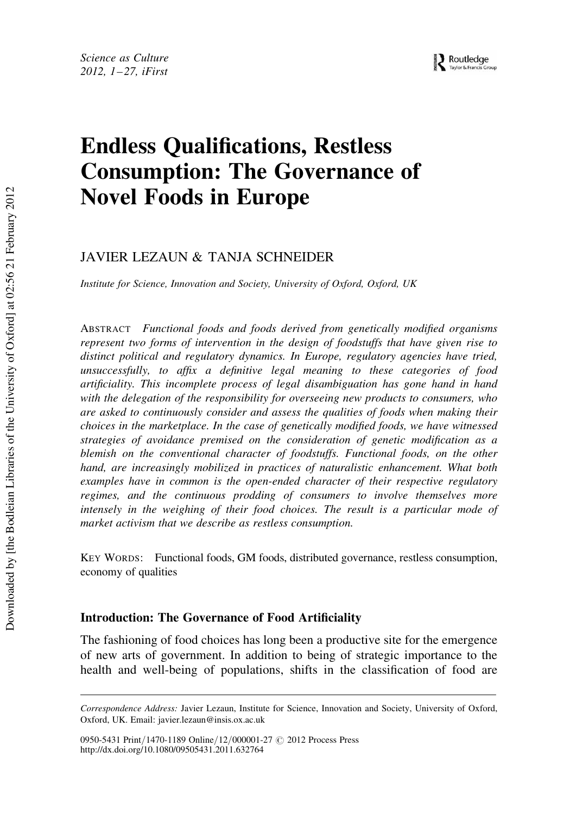# Endless Qualifications, Restless Consumption: The Governance of Novel Foods in Europe

## JAVIER LEZAUN & TANJA SCHNEIDER

Institute for Science, Innovation and Society, University of Oxford, Oxford, UK

ABSTRACT Functional foods and foods derived from genetically modified organisms represent two forms of intervention in the design of foodstuffs that have given rise to distinct political and regulatory dynamics. In Europe, regulatory agencies have tried, unsuccessfully, to affix a definitive legal meaning to these categories of food artificiality. This incomplete process of legal disambiguation has gone hand in hand with the delegation of the responsibility for overseeing new products to consumers, who are asked to continuously consider and assess the qualities of foods when making their choices in the marketplace. In the case of genetically modified foods, we have witnessed strategies of avoidance premised on the consideration of genetic modification as a blemish on the conventional character of foodstuffs. Functional foods, on the other hand, are increasingly mobilized in practices of naturalistic enhancement. What both examples have in common is the open-ended character of their respective regulatory regimes, and the continuous prodding of consumers to involve themselves more intensely in the weighing of their food choices. The result is a particular mode of market activism that we describe as restless consumption.

KEY WORDS: Functional foods, GM foods, distributed governance, restless consumption, economy of qualities

#### Introduction: The Governance of Food Artificiality

The fashioning of food choices has long been a productive site for the emergence of new arts of government. In addition to being of strategic importance to the health and well-being of populations, shifts in the classification of food are

Correspondence Address: Javier Lezaun, Institute for Science, Innovation and Society, University of Oxford, Oxford, UK. Email: javier.lezaun@insis.ox.ac.uk

<sup>0950-5431</sup> Print/1470-1189 Online/12/000001-27 © 2012 Process Press http://dx.doi.org/10.1080/09505431.2011.632764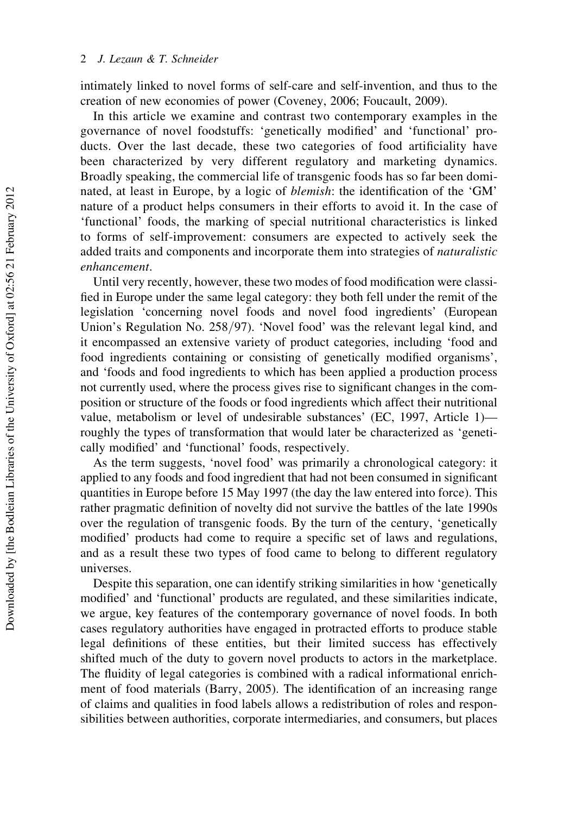intimately linked to novel forms of self-care and self-invention, and thus to the creation of new economies of power (Coveney, 2006; Foucault, 2009).

In this article we examine and contrast two contemporary examples in the governance of novel foodstuffs: 'genetically modified' and 'functional' products. Over the last decade, these two categories of food artificiality have been characterized by very different regulatory and marketing dynamics. Broadly speaking, the commercial life of transgenic foods has so far been dominated, at least in Europe, by a logic of blemish: the identification of the 'GM' nature of a product helps consumers in their efforts to avoid it. In the case of 'functional' foods, the marking of special nutritional characteristics is linked to forms of self-improvement: consumers are expected to actively seek the added traits and components and incorporate them into strategies of naturalistic enhancement.

Until very recently, however, these two modes of food modification were classified in Europe under the same legal category: they both fell under the remit of the legislation 'concerning novel foods and novel food ingredients' (European Union's Regulation No. 258/97). 'Novel food' was the relevant legal kind, and it encompassed an extensive variety of product categories, including 'food and food ingredients containing or consisting of genetically modified organisms', and 'foods and food ingredients to which has been applied a production process not currently used, where the process gives rise to significant changes in the composition or structure of the foods or food ingredients which affect their nutritional value, metabolism or level of undesirable substances' (EC, 1997, Article 1) roughly the types of transformation that would later be characterized as 'genetically modified' and 'functional' foods, respectively.

As the term suggests, 'novel food' was primarily a chronological category: it applied to any foods and food ingredient that had not been consumed in significant quantities in Europe before 15 May 1997 (the day the law entered into force). This rather pragmatic definition of novelty did not survive the battles of the late 1990s over the regulation of transgenic foods. By the turn of the century, 'genetically modified' products had come to require a specific set of laws and regulations, and as a result these two types of food came to belong to different regulatory universes.

Despite this separation, one can identify striking similarities in how 'genetically modified' and 'functional' products are regulated, and these similarities indicate, we argue, key features of the contemporary governance of novel foods. In both cases regulatory authorities have engaged in protracted efforts to produce stable legal definitions of these entities, but their limited success has effectively shifted much of the duty to govern novel products to actors in the marketplace. The fluidity of legal categories is combined with a radical informational enrichment of food materials (Barry, 2005). The identification of an increasing range of claims and qualities in food labels allows a redistribution of roles and responsibilities between authorities, corporate intermediaries, and consumers, but places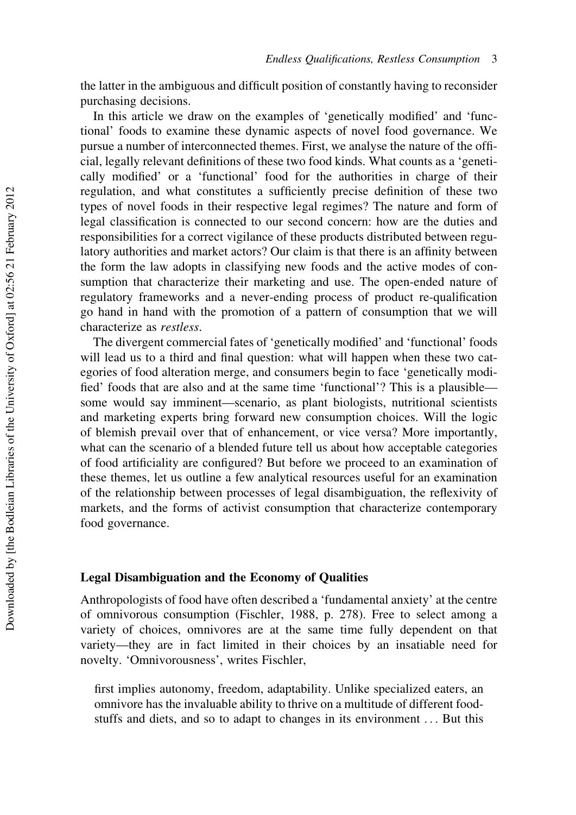the latter in the ambiguous and difficult position of constantly having to reconsider purchasing decisions.

In this article we draw on the examples of 'genetically modified' and 'functional' foods to examine these dynamic aspects of novel food governance. We pursue a number of interconnected themes. First, we analyse the nature of the official, legally relevant definitions of these two food kinds. What counts as a 'genetically modified' or a 'functional' food for the authorities in charge of their regulation, and what constitutes a sufficiently precise definition of these two types of novel foods in their respective legal regimes? The nature and form of legal classification is connected to our second concern: how are the duties and responsibilities for a correct vigilance of these products distributed between regulatory authorities and market actors? Our claim is that there is an affinity between the form the law adopts in classifying new foods and the active modes of consumption that characterize their marketing and use. The open-ended nature of regulatory frameworks and a never-ending process of product re-qualification go hand in hand with the promotion of a pattern of consumption that we will characterize as restless.

The divergent commercial fates of 'genetically modified' and 'functional' foods will lead us to a third and final question: what will happen when these two categories of food alteration merge, and consumers begin to face 'genetically modified' foods that are also and at the same time 'functional'? This is a plausible some would say imminent—scenario, as plant biologists, nutritional scientists and marketing experts bring forward new consumption choices. Will the logic of blemish prevail over that of enhancement, or vice versa? More importantly, what can the scenario of a blended future tell us about how acceptable categories of food artificiality are configured? But before we proceed to an examination of these themes, let us outline a few analytical resources useful for an examination of the relationship between processes of legal disambiguation, the reflexivity of markets, and the forms of activist consumption that characterize contemporary food governance.

#### Legal Disambiguation and the Economy of Qualities

Anthropologists of food have often described a 'fundamental anxiety' at the centre of omnivorous consumption (Fischler, 1988, p. 278). Free to select among a variety of choices, omnivores are at the same time fully dependent on that variety—they are in fact limited in their choices by an insatiable need for novelty. 'Omnivorousness', writes Fischler,

first implies autonomy, freedom, adaptability. Unlike specialized eaters, an omnivore has the invaluable ability to thrive on a multitude of different foodstuffs and diets, and so to adapt to changes in its environment ... But this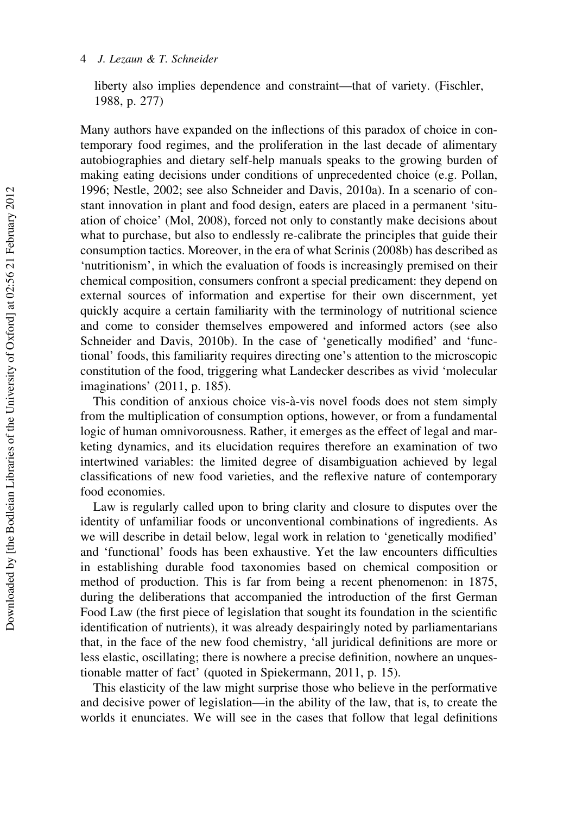liberty also implies dependence and constraint—that of variety. (Fischler, 1988, p. 277)

Many authors have expanded on the inflections of this paradox of choice in contemporary food regimes, and the proliferation in the last decade of alimentary autobiographies and dietary self-help manuals speaks to the growing burden of making eating decisions under conditions of unprecedented choice (e.g. Pollan, 1996; Nestle, 2002; see also Schneider and Davis, 2010a). In a scenario of constant innovation in plant and food design, eaters are placed in a permanent 'situation of choice' (Mol, 2008), forced not only to constantly make decisions about what to purchase, but also to endlessly re-calibrate the principles that guide their consumption tactics. Moreover, in the era of what Scrinis (2008b) has described as 'nutritionism', in which the evaluation of foods is increasingly premised on their chemical composition, consumers confront a special predicament: they depend on external sources of information and expertise for their own discernment, yet quickly acquire a certain familiarity with the terminology of nutritional science and come to consider themselves empowered and informed actors (see also Schneider and Davis, 2010b). In the case of 'genetically modified' and 'functional' foods, this familiarity requires directing one's attention to the microscopic constitution of the food, triggering what Landecker describes as vivid 'molecular imaginations' (2011, p. 185).

This condition of anxious choice vis-à-vis novel foods does not stem simply from the multiplication of consumption options, however, or from a fundamental logic of human omnivorousness. Rather, it emerges as the effect of legal and marketing dynamics, and its elucidation requires therefore an examination of two intertwined variables: the limited degree of disambiguation achieved by legal classifications of new food varieties, and the reflexive nature of contemporary food economies.

Law is regularly called upon to bring clarity and closure to disputes over the identity of unfamiliar foods or unconventional combinations of ingredients. As we will describe in detail below, legal work in relation to 'genetically modified' and 'functional' foods has been exhaustive. Yet the law encounters difficulties in establishing durable food taxonomies based on chemical composition or method of production. This is far from being a recent phenomenon: in 1875, during the deliberations that accompanied the introduction of the first German Food Law (the first piece of legislation that sought its foundation in the scientific identification of nutrients), it was already despairingly noted by parliamentarians that, in the face of the new food chemistry, 'all juridical definitions are more or less elastic, oscillating; there is nowhere a precise definition, nowhere an unquestionable matter of fact' (quoted in Spiekermann, 2011, p. 15).

This elasticity of the law might surprise those who believe in the performative and decisive power of legislation—in the ability of the law, that is, to create the worlds it enunciates. We will see in the cases that follow that legal definitions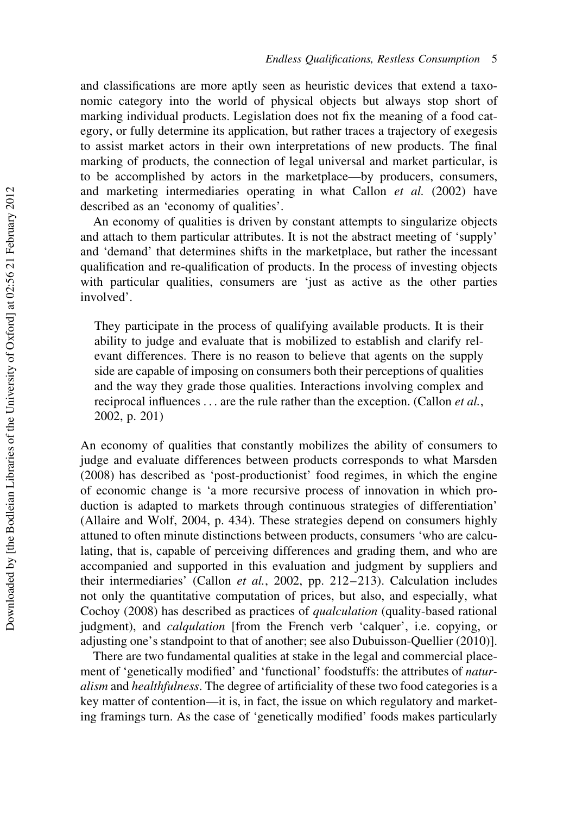and classifications are more aptly seen as heuristic devices that extend a taxonomic category into the world of physical objects but always stop short of marking individual products. Legislation does not fix the meaning of a food category, or fully determine its application, but rather traces a trajectory of exegesis to assist market actors in their own interpretations of new products. The final marking of products, the connection of legal universal and market particular, is to be accomplished by actors in the marketplace—by producers, consumers, and marketing intermediaries operating in what Callon et al. (2002) have described as an 'economy of qualities'.

An economy of qualities is driven by constant attempts to singularize objects and attach to them particular attributes. It is not the abstract meeting of 'supply' and 'demand' that determines shifts in the marketplace, but rather the incessant qualification and re-qualification of products. In the process of investing objects with particular qualities, consumers are 'just as active as the other parties involved'.

They participate in the process of qualifying available products. It is their ability to judge and evaluate that is mobilized to establish and clarify relevant differences. There is no reason to believe that agents on the supply side are capable of imposing on consumers both their perceptions of qualities and the way they grade those qualities. Interactions involving complex and reciprocal influences ... are the rule rather than the exception. (Callon *et al.*, 2002, p. 201)

An economy of qualities that constantly mobilizes the ability of consumers to judge and evaluate differences between products corresponds to what Marsden (2008) has described as 'post-productionist' food regimes, in which the engine of economic change is 'a more recursive process of innovation in which production is adapted to markets through continuous strategies of differentiation' (Allaire and Wolf, 2004, p. 434). These strategies depend on consumers highly attuned to often minute distinctions between products, consumers 'who are calculating, that is, capable of perceiving differences and grading them, and who are accompanied and supported in this evaluation and judgment by suppliers and their intermediaries' (Callon et al., 2002, pp. 212-213). Calculation includes not only the quantitative computation of prices, but also, and especially, what Cochoy (2008) has described as practices of qualculation (quality-based rational judgment), and calqulation [from the French verb 'calquer', i.e. copying, or adjusting one's standpoint to that of another; see also Dubuisson-Quellier (2010)].

There are two fundamental qualities at stake in the legal and commercial placement of 'genetically modified' and 'functional' foodstuffs: the attributes of naturalism and healthfulness. The degree of artificiality of these two food categories is a key matter of contention—it is, in fact, the issue on which regulatory and marketing framings turn. As the case of 'genetically modified' foods makes particularly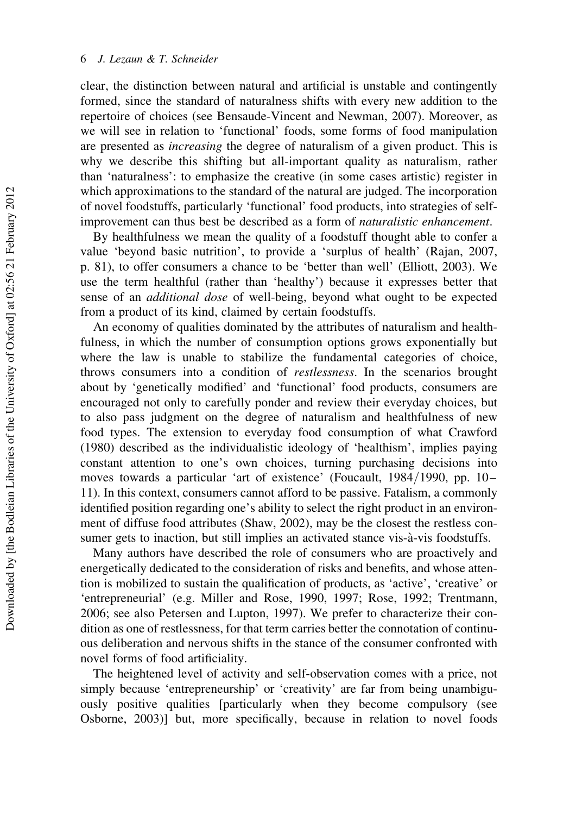clear, the distinction between natural and artificial is unstable and contingently formed, since the standard of naturalness shifts with every new addition to the repertoire of choices (see Bensaude-Vincent and Newman, 2007). Moreover, as we will see in relation to 'functional' foods, some forms of food manipulation are presented as increasing the degree of naturalism of a given product. This is why we describe this shifting but all-important quality as naturalism, rather than 'naturalness': to emphasize the creative (in some cases artistic) register in which approximations to the standard of the natural are judged. The incorporation of novel foodstuffs, particularly 'functional' food products, into strategies of selfimprovement can thus best be described as a form of naturalistic enhancement.

By healthfulness we mean the quality of a foodstuff thought able to confer a value 'beyond basic nutrition', to provide a 'surplus of health' (Rajan, 2007, p. 81), to offer consumers a chance to be 'better than well' (Elliott, 2003). We use the term healthful (rather than 'healthy') because it expresses better that sense of an additional dose of well-being, beyond what ought to be expected from a product of its kind, claimed by certain foodstuffs.

An economy of qualities dominated by the attributes of naturalism and healthfulness, in which the number of consumption options grows exponentially but where the law is unable to stabilize the fundamental categories of choice, throws consumers into a condition of restlessness. In the scenarios brought about by 'genetically modified' and 'functional' food products, consumers are encouraged not only to carefully ponder and review their everyday choices, but to also pass judgment on the degree of naturalism and healthfulness of new food types. The extension to everyday food consumption of what Crawford (1980) described as the individualistic ideology of 'healthism', implies paying constant attention to one's own choices, turning purchasing decisions into moves towards a particular 'art of existence' (Foucault, 1984/1990, pp. 10– 11). In this context, consumers cannot afford to be passive. Fatalism, a commonly identified position regarding one's ability to select the right product in an environment of diffuse food attributes (Shaw, 2002), may be the closest the restless consumer gets to inaction, but still implies an activated stance vis-à-vis foodstuffs.

Many authors have described the role of consumers who are proactively and energetically dedicated to the consideration of risks and benefits, and whose attention is mobilized to sustain the qualification of products, as 'active', 'creative' or 'entrepreneurial' (e.g. Miller and Rose, 1990, 1997; Rose, 1992; Trentmann, 2006; see also Petersen and Lupton, 1997). We prefer to characterize their condition as one of restlessness, for that term carries better the connotation of continuous deliberation and nervous shifts in the stance of the consumer confronted with novel forms of food artificiality.

The heightened level of activity and self-observation comes with a price, not simply because 'entrepreneurship' or 'creativity' are far from being unambiguously positive qualities [particularly when they become compulsory (see Osborne, 2003)] but, more specifically, because in relation to novel foods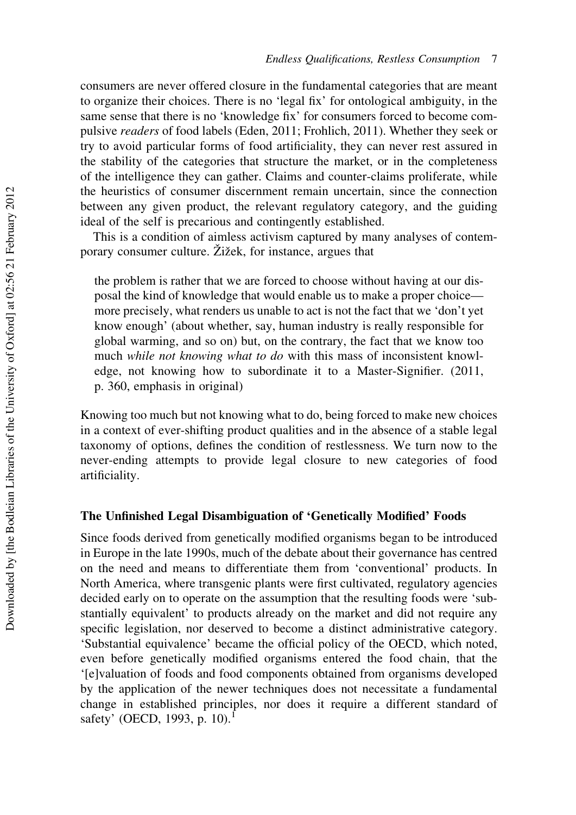consumers are never offered closure in the fundamental categories that are meant to organize their choices. There is no 'legal fix' for ontological ambiguity, in the same sense that there is no 'knowledge fix' for consumers forced to become compulsive readers of food labels (Eden, 2011; Frohlich, 2011). Whether they seek or try to avoid particular forms of food artificiality, they can never rest assured in the stability of the categories that structure the market, or in the completeness of the intelligence they can gather. Claims and counter-claims proliferate, while the heuristics of consumer discernment remain uncertain, since the connection between any given product, the relevant regulatory category, and the guiding ideal of the self is precarious and contingently established.

This is a condition of aimless activism captured by many analyses of contemporary consumer culture. Žižek, for instance, argues that

the problem is rather that we are forced to choose without having at our disposal the kind of knowledge that would enable us to make a proper choice more precisely, what renders us unable to act is not the fact that we 'don't yet know enough' (about whether, say, human industry is really responsible for global warming, and so on) but, on the contrary, the fact that we know too much while not knowing what to do with this mass of inconsistent knowledge, not knowing how to subordinate it to a Master-Signifier. (2011, p. 360, emphasis in original)

Knowing too much but not knowing what to do, being forced to make new choices in a context of ever-shifting product qualities and in the absence of a stable legal taxonomy of options, defines the condition of restlessness. We turn now to the never-ending attempts to provide legal closure to new categories of food artificiality.

#### The Unfinished Legal Disambiguation of 'Genetically Modified' Foods

Since foods derived from genetically modified organisms began to be introduced in Europe in the late 1990s, much of the debate about their governance has centred on the need and means to differentiate them from 'conventional' products. In North America, where transgenic plants were first cultivated, regulatory agencies decided early on to operate on the assumption that the resulting foods were 'substantially equivalent' to products already on the market and did not require any specific legislation, nor deserved to become a distinct administrative category. 'Substantial equivalence' became the official policy of the OECD, which noted, even before genetically modified organisms entered the food chain, that the '[e]valuation of foods and food components obtained from organisms developed by the application of the newer techniques does not necessitate a fundamental change in established principles, nor does it require a different standard of safety' (OECD, 1993, p. 10).<sup>1</sup>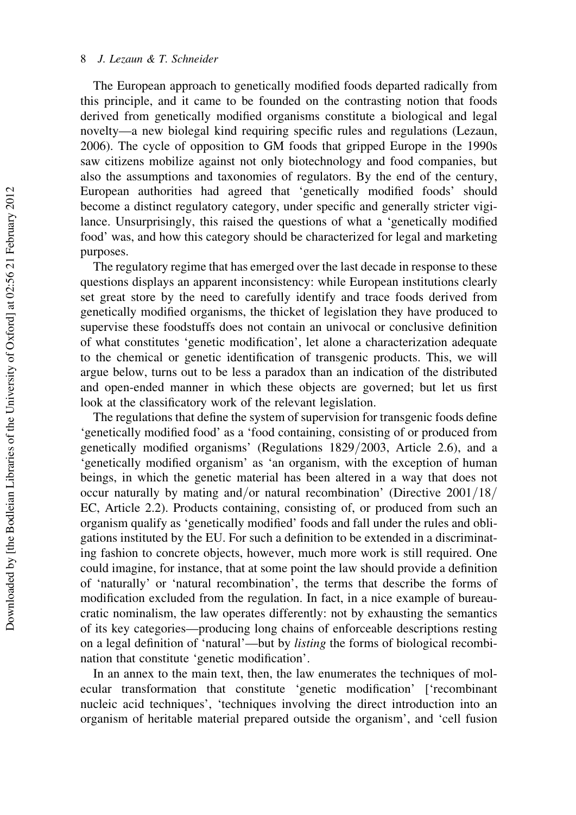The European approach to genetically modified foods departed radically from this principle, and it came to be founded on the contrasting notion that foods derived from genetically modified organisms constitute a biological and legal novelty—a new biolegal kind requiring specific rules and regulations (Lezaun, 2006). The cycle of opposition to GM foods that gripped Europe in the 1990s saw citizens mobilize against not only biotechnology and food companies, but also the assumptions and taxonomies of regulators. By the end of the century, European authorities had agreed that 'genetically modified foods' should become a distinct regulatory category, under specific and generally stricter vigilance. Unsurprisingly, this raised the questions of what a 'genetically modified food' was, and how this category should be characterized for legal and marketing purposes.

The regulatory regime that has emerged over the last decade in response to these questions displays an apparent inconsistency: while European institutions clearly set great store by the need to carefully identify and trace foods derived from genetically modified organisms, the thicket of legislation they have produced to supervise these foodstuffs does not contain an univocal or conclusive definition of what constitutes 'genetic modification', let alone a characterization adequate to the chemical or genetic identification of transgenic products. This, we will argue below, turns out to be less a paradox than an indication of the distributed and open-ended manner in which these objects are governed; but let us first look at the classificatory work of the relevant legislation.

The regulations that define the system of supervision for transgenic foods define 'genetically modified food' as a 'food containing, consisting of or produced from genetically modified organisms' (Regulations 1829/2003, Article 2.6), and a 'genetically modified organism' as 'an organism, with the exception of human beings, in which the genetic material has been altered in a way that does not occur naturally by mating and/or natural recombination' (Directive 2001/18/ EC, Article 2.2). Products containing, consisting of, or produced from such an organism qualify as 'genetically modified' foods and fall under the rules and obligations instituted by the EU. For such a definition to be extended in a discriminating fashion to concrete objects, however, much more work is still required. One could imagine, for instance, that at some point the law should provide a definition of 'naturally' or 'natural recombination', the terms that describe the forms of modification excluded from the regulation. In fact, in a nice example of bureaucratic nominalism, the law operates differently: not by exhausting the semantics of its key categories—producing long chains of enforceable descriptions resting on a legal definition of 'natural'—but by listing the forms of biological recombination that constitute 'genetic modification'.

In an annex to the main text, then, the law enumerates the techniques of molecular transformation that constitute 'genetic modification' ['recombinant nucleic acid techniques', 'techniques involving the direct introduction into an organism of heritable material prepared outside the organism', and 'cell fusion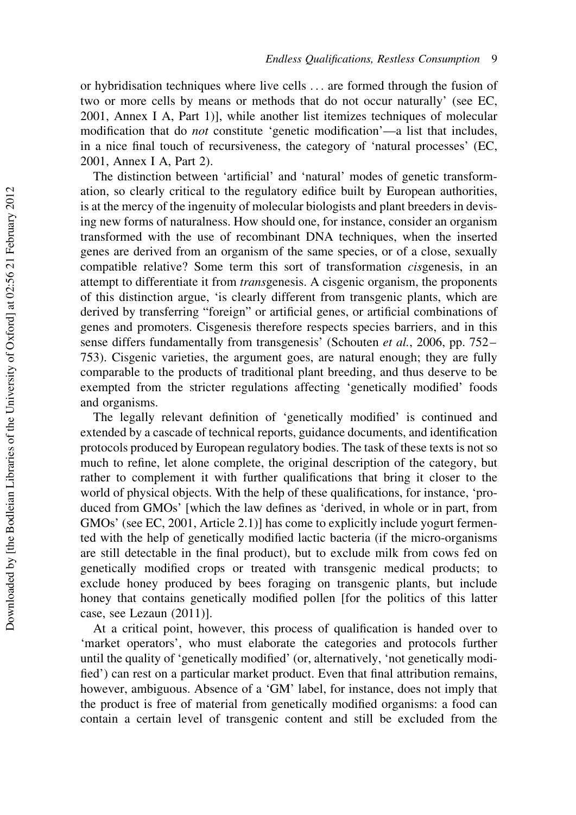or hybridisation techniques where live cells ... are formed through the fusion of two or more cells by means or methods that do not occur naturally' (see EC, 2001, Annex I A, Part 1)], while another list itemizes techniques of molecular modification that do *not* constitute 'genetic modification'—a list that includes, in a nice final touch of recursiveness, the category of 'natural processes' (EC, 2001, Annex I A, Part 2).

The distinction between 'artificial' and 'natural' modes of genetic transformation, so clearly critical to the regulatory edifice built by European authorities, is at the mercy of the ingenuity of molecular biologists and plant breeders in devising new forms of naturalness. How should one, for instance, consider an organism transformed with the use of recombinant DNA techniques, when the inserted genes are derived from an organism of the same species, or of a close, sexually compatible relative? Some term this sort of transformation cisgenesis, in an attempt to differentiate it from transgenesis. A cisgenic organism, the proponents of this distinction argue, 'is clearly different from transgenic plants, which are derived by transferring "foreign" or artificial genes, or artificial combinations of genes and promoters. Cisgenesis therefore respects species barriers, and in this sense differs fundamentally from transgenesis' (Schouten et al., 2006, pp. 752 – 753). Cisgenic varieties, the argument goes, are natural enough; they are fully comparable to the products of traditional plant breeding, and thus deserve to be exempted from the stricter regulations affecting 'genetically modified' foods and organisms.

The legally relevant definition of 'genetically modified' is continued and extended by a cascade of technical reports, guidance documents, and identification protocols produced by European regulatory bodies. The task of these texts is not so much to refine, let alone complete, the original description of the category, but rather to complement it with further qualifications that bring it closer to the world of physical objects. With the help of these qualifications, for instance, 'produced from GMOs' [which the law defines as 'derived, in whole or in part, from GMOs' (see EC, 2001, Article 2.1)] has come to explicitly include yogurt fermented with the help of genetically modified lactic bacteria (if the micro-organisms are still detectable in the final product), but to exclude milk from cows fed on genetically modified crops or treated with transgenic medical products; to exclude honey produced by bees foraging on transgenic plants, but include honey that contains genetically modified pollen [for the politics of this latter case, see Lezaun (2011)].

At a critical point, however, this process of qualification is handed over to 'market operators', who must elaborate the categories and protocols further until the quality of 'genetically modified' (or, alternatively, 'not genetically modified') can rest on a particular market product. Even that final attribution remains, however, ambiguous. Absence of a 'GM' label, for instance, does not imply that the product is free of material from genetically modified organisms: a food can contain a certain level of transgenic content and still be excluded from the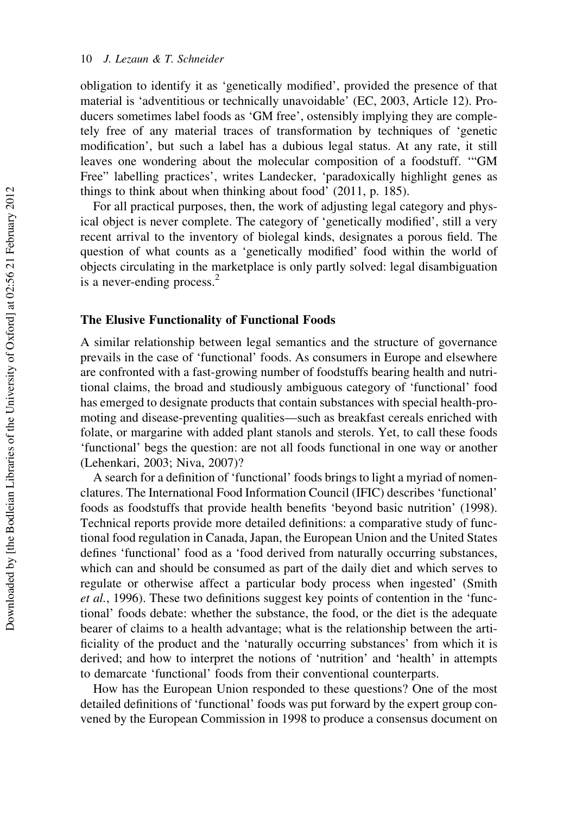obligation to identify it as 'genetically modified', provided the presence of that material is 'adventitious or technically unavoidable' (EC, 2003, Article 12). Producers sometimes label foods as 'GM free', ostensibly implying they are completely free of any material traces of transformation by techniques of 'genetic modification', but such a label has a dubious legal status. At any rate, it still leaves one wondering about the molecular composition of a foodstuff. '"GM Free" labelling practices', writes Landecker, 'paradoxically highlight genes as things to think about when thinking about food' (2011, p. 185).

For all practical purposes, then, the work of adjusting legal category and physical object is never complete. The category of 'genetically modified', still a very recent arrival to the inventory of biolegal kinds, designates a porous field. The question of what counts as a 'genetically modified' food within the world of objects circulating in the marketplace is only partly solved: legal disambiguation is a never-ending process.<sup>2</sup>

#### The Elusive Functionality of Functional Foods

A similar relationship between legal semantics and the structure of governance prevails in the case of 'functional' foods. As consumers in Europe and elsewhere are confronted with a fast-growing number of foodstuffs bearing health and nutritional claims, the broad and studiously ambiguous category of 'functional' food has emerged to designate products that contain substances with special health-promoting and disease-preventing qualities—such as breakfast cereals enriched with folate, or margarine with added plant stanols and sterols. Yet, to call these foods 'functional' begs the question: are not all foods functional in one way or another (Lehenkari, 2003; Niva, 2007)?

A search for a definition of 'functional' foods brings to light a myriad of nomenclatures. The International Food Information Council (IFIC) describes 'functional' foods as foodstuffs that provide health benefits 'beyond basic nutrition' (1998). Technical reports provide more detailed definitions: a comparative study of functional food regulation in Canada, Japan, the European Union and the United States defines 'functional' food as a 'food derived from naturally occurring substances, which can and should be consumed as part of the daily diet and which serves to regulate or otherwise affect a particular body process when ingested' (Smith et al., 1996). These two definitions suggest key points of contention in the 'functional' foods debate: whether the substance, the food, or the diet is the adequate bearer of claims to a health advantage; what is the relationship between the artificiality of the product and the 'naturally occurring substances' from which it is derived; and how to interpret the notions of 'nutrition' and 'health' in attempts to demarcate 'functional' foods from their conventional counterparts.

How has the European Union responded to these questions? One of the most detailed definitions of 'functional' foods was put forward by the expert group convened by the European Commission in 1998 to produce a consensus document on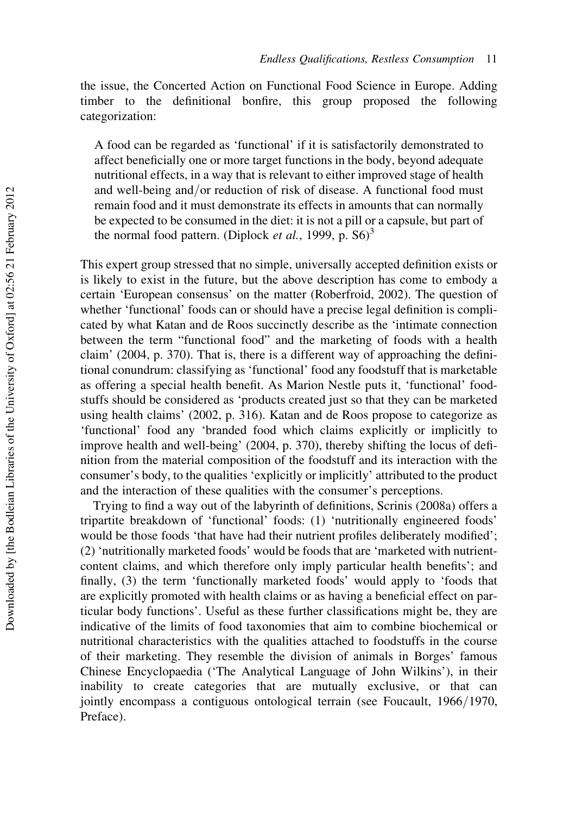the issue, the Concerted Action on Functional Food Science in Europe. Adding timber to the definitional bonfire, this group proposed the following categorization:

A food can be regarded as 'functional' if it is satisfactorily demonstrated to affect beneficially one or more target functions in the body, beyond adequate nutritional effects, in a way that is relevant to either improved stage of health and well-being and/or reduction of risk of disease. A functional food must remain food and it must demonstrate its effects in amounts that can normally be expected to be consumed in the diet: it is not a pill or a capsule, but part of the normal food pattern. (Diplock *et al.*, 1999, p.  $S6$ )<sup>3</sup>

This expert group stressed that no simple, universally accepted definition exists or is likely to exist in the future, but the above description has come to embody a certain 'European consensus' on the matter (Roberfroid, 2002). The question of whether 'functional' foods can or should have a precise legal definition is complicated by what Katan and de Roos succinctly describe as the 'intimate connection between the term "functional food" and the marketing of foods with a health claim' (2004, p. 370). That is, there is a different way of approaching the definitional conundrum: classifying as 'functional' food any foodstuff that is marketable as offering a special health benefit. As Marion Nestle puts it, 'functional' foodstuffs should be considered as 'products created just so that they can be marketed using health claims' (2002, p. 316). Katan and de Roos propose to categorize as 'functional' food any 'branded food which claims explicitly or implicitly to improve health and well-being' (2004, p. 370), thereby shifting the locus of definition from the material composition of the foodstuff and its interaction with the consumer's body, to the qualities 'explicitly or implicitly' attributed to the product and the interaction of these qualities with the consumer's perceptions.

Trying to find a way out of the labyrinth of definitions, Scrinis (2008a) offers a tripartite breakdown of 'functional' foods: (1) 'nutritionally engineered foods' would be those foods 'that have had their nutrient profiles deliberately modified'; (2) 'nutritionally marketed foods' would be foods that are 'marketed with nutrientcontent claims, and which therefore only imply particular health benefits'; and finally, (3) the term 'functionally marketed foods' would apply to 'foods that are explicitly promoted with health claims or as having a beneficial effect on particular body functions'. Useful as these further classifications might be, they are indicative of the limits of food taxonomies that aim to combine biochemical or nutritional characteristics with the qualities attached to foodstuffs in the course of their marketing. They resemble the division of animals in Borges' famous Chinese Encyclopaedia ('The Analytical Language of John Wilkins'), in their inability to create categories that are mutually exclusive, or that can jointly encompass a contiguous ontological terrain (see Foucault, 1966/1970, Preface).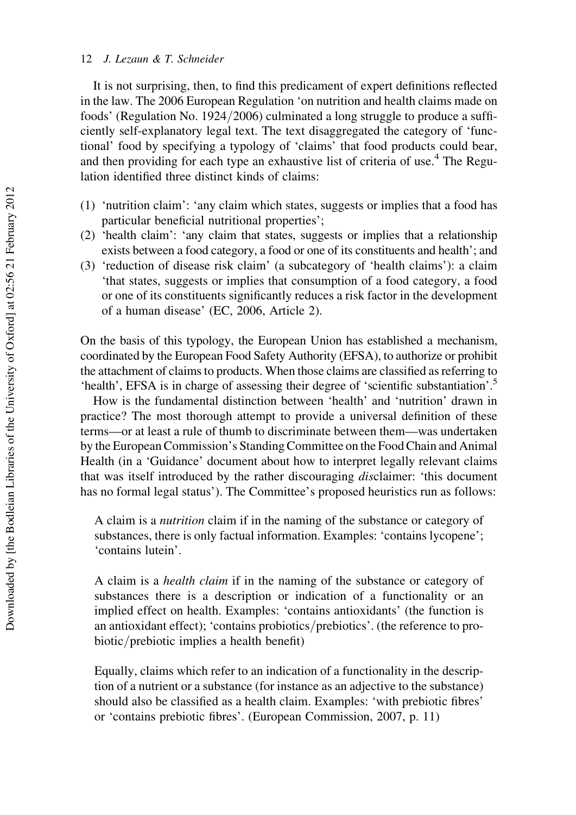It is not surprising, then, to find this predicament of expert definitions reflected in the law. The 2006 European Regulation 'on nutrition and health claims made on foods' (Regulation No. 1924/2006) culminated a long struggle to produce a sufficiently self-explanatory legal text. The text disaggregated the category of 'functional' food by specifying a typology of 'claims' that food products could bear, and then providing for each type an exhaustive list of criteria of use.<sup>4</sup> The Regulation identified three distinct kinds of claims:

- (1) 'nutrition claim': 'any claim which states, suggests or implies that a food has particular beneficial nutritional properties';
- (2) 'health claim': 'any claim that states, suggests or implies that a relationship exists between a food category, a food or one of its constituents and health'; and
- (3) 'reduction of disease risk claim' (a subcategory of 'health claims'): a claim 'that states, suggests or implies that consumption of a food category, a food or one of its constituents significantly reduces a risk factor in the development of a human disease' (EC, 2006, Article 2).

On the basis of this typology, the European Union has established a mechanism, coordinated by the European Food Safety Authority (EFSA), to authorize or prohibit the attachment of claims to products. When those claims are classified as referring to 'health', EFSA is in charge of assessing their degree of 'scientific substantiation'.5

How is the fundamental distinction between 'health' and 'nutrition' drawn in practice? The most thorough attempt to provide a universal definition of these terms—or at least a rule of thumb to discriminate between them—was undertaken by the European Commission's Standing Committee on the Food Chain and Animal Health (in a 'Guidance' document about how to interpret legally relevant claims that was itself introduced by the rather discouraging disclaimer: 'this document has no formal legal status'). The Committee's proposed heuristics run as follows:

A claim is a nutrition claim if in the naming of the substance or category of substances, there is only factual information. Examples: 'contains lycopene'; 'contains lutein'.

A claim is a health claim if in the naming of the substance or category of substances there is a description or indication of a functionality or an implied effect on health. Examples: 'contains antioxidants' (the function is an antioxidant effect); 'contains probiotics/prebiotics'. (the reference to probiotic/prebiotic implies a health benefit)

Equally, claims which refer to an indication of a functionality in the description of a nutrient or a substance (for instance as an adjective to the substance) should also be classified as a health claim. Examples: 'with prebiotic fibres' or 'contains prebiotic fibres'. (European Commission, 2007, p. 11)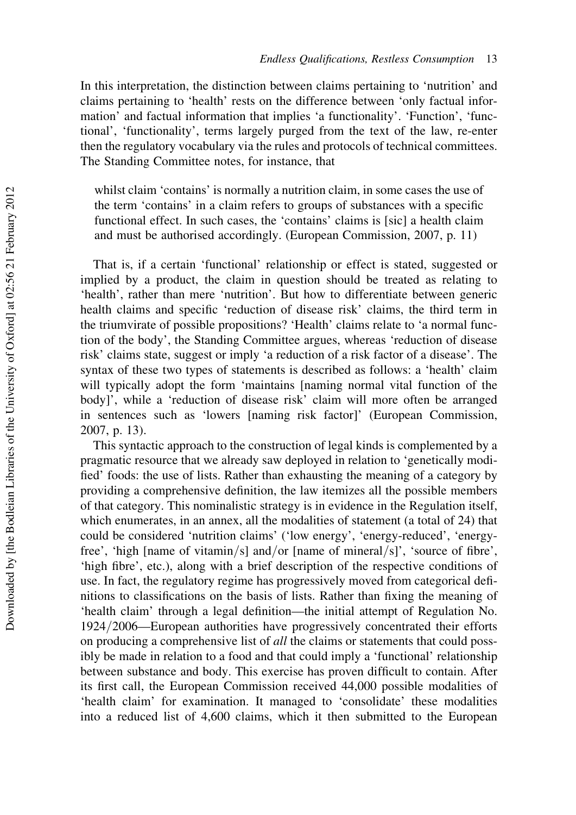In this interpretation, the distinction between claims pertaining to 'nutrition' and claims pertaining to 'health' rests on the difference between 'only factual information' and factual information that implies 'a functionality'. 'Function', 'functional', 'functionality', terms largely purged from the text of the law, re-enter then the regulatory vocabulary via the rules and protocols of technical committees. The Standing Committee notes, for instance, that

whilst claim 'contains' is normally a nutrition claim, in some cases the use of the term 'contains' in a claim refers to groups of substances with a specific functional effect. In such cases, the 'contains' claims is [sic] a health claim and must be authorised accordingly. (European Commission, 2007, p. 11)

That is, if a certain 'functional' relationship or effect is stated, suggested or implied by a product, the claim in question should be treated as relating to 'health', rather than mere 'nutrition'. But how to differentiate between generic health claims and specific 'reduction of disease risk' claims, the third term in the triumvirate of possible propositions? 'Health' claims relate to 'a normal function of the body', the Standing Committee argues, whereas 'reduction of disease risk' claims state, suggest or imply 'a reduction of a risk factor of a disease'. The syntax of these two types of statements is described as follows: a 'health' claim will typically adopt the form 'maintains [naming normal vital function of the body]', while a 'reduction of disease risk' claim will more often be arranged in sentences such as 'lowers [naming risk factor]' (European Commission, 2007, p. 13).

This syntactic approach to the construction of legal kinds is complemented by a pragmatic resource that we already saw deployed in relation to 'genetically modified' foods: the use of lists. Rather than exhausting the meaning of a category by providing a comprehensive definition, the law itemizes all the possible members of that category. This nominalistic strategy is in evidence in the Regulation itself, which enumerates, in an annex, all the modalities of statement (a total of 24) that could be considered 'nutrition claims' ('low energy', 'energy-reduced', 'energyfree', 'high [name of vitamin/s] and/or [name of mineral/s]', 'source of fibre', 'high fibre', etc.), along with a brief description of the respective conditions of use. In fact, the regulatory regime has progressively moved from categorical definitions to classifications on the basis of lists. Rather than fixing the meaning of 'health claim' through a legal definition—the initial attempt of Regulation No. 1924/2006—European authorities have progressively concentrated their efforts on producing a comprehensive list of all the claims or statements that could possibly be made in relation to a food and that could imply a 'functional' relationship between substance and body. This exercise has proven difficult to contain. After its first call, the European Commission received 44,000 possible modalities of 'health claim' for examination. It managed to 'consolidate' these modalities into a reduced list of 4,600 claims, which it then submitted to the European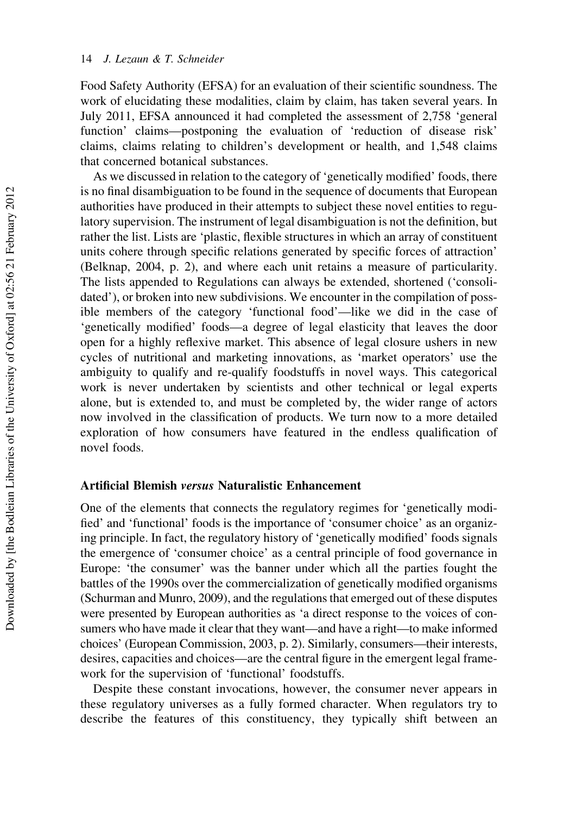Food Safety Authority (EFSA) for an evaluation of their scientific soundness. The work of elucidating these modalities, claim by claim, has taken several years. In July 2011, EFSA announced it had completed the assessment of 2,758 'general function' claims—postponing the evaluation of 'reduction of disease risk' claims, claims relating to children's development or health, and 1,548 claims that concerned botanical substances.

As we discussed in relation to the category of 'genetically modified' foods, there is no final disambiguation to be found in the sequence of documents that European authorities have produced in their attempts to subject these novel entities to regulatory supervision. The instrument of legal disambiguation is not the definition, but rather the list. Lists are 'plastic, flexible structures in which an array of constituent units cohere through specific relations generated by specific forces of attraction' (Belknap, 2004, p. 2), and where each unit retains a measure of particularity. The lists appended to Regulations can always be extended, shortened ('consolidated'), or broken into new subdivisions. We encounter in the compilation of possible members of the category 'functional food'—like we did in the case of 'genetically modified' foods—a degree of legal elasticity that leaves the door open for a highly reflexive market. This absence of legal closure ushers in new cycles of nutritional and marketing innovations, as 'market operators' use the ambiguity to qualify and re-qualify foodstuffs in novel ways. This categorical work is never undertaken by scientists and other technical or legal experts alone, but is extended to, and must be completed by, the wider range of actors now involved in the classification of products. We turn now to a more detailed exploration of how consumers have featured in the endless qualification of novel foods.

#### Artificial Blemish versus Naturalistic Enhancement

One of the elements that connects the regulatory regimes for 'genetically modified' and 'functional' foods is the importance of 'consumer choice' as an organizing principle. In fact, the regulatory history of 'genetically modified' foods signals the emergence of 'consumer choice' as a central principle of food governance in Europe: 'the consumer' was the banner under which all the parties fought the battles of the 1990s over the commercialization of genetically modified organisms (Schurman and Munro, 2009), and the regulations that emerged out of these disputes were presented by European authorities as 'a direct response to the voices of consumers who have made it clear that they want—and have a right—to make informed choices' (European Commission, 2003, p. 2). Similarly, consumers—their interests, desires, capacities and choices—are the central figure in the emergent legal framework for the supervision of 'functional' foodstuffs.

Despite these constant invocations, however, the consumer never appears in these regulatory universes as a fully formed character. When regulators try to describe the features of this constituency, they typically shift between an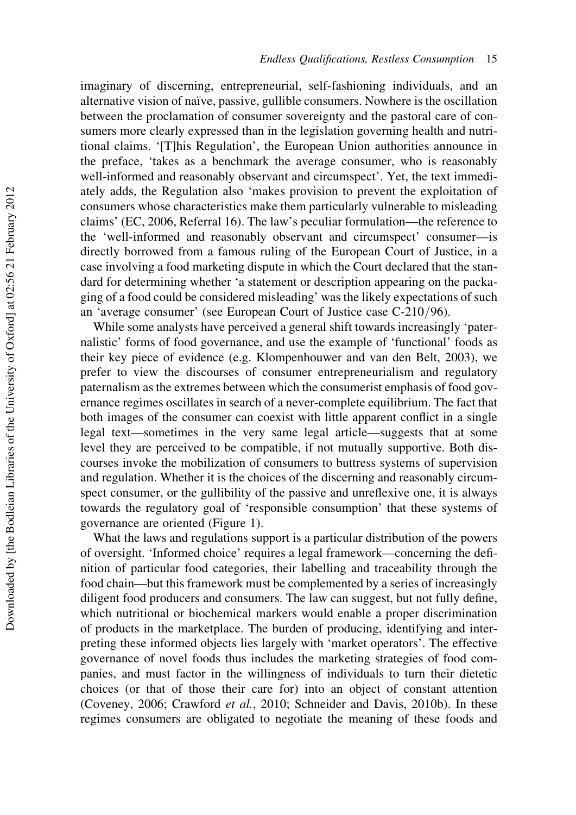imaginary of discerning, entrepreneurial, self-fashioning individuals, and an alternative vision of naïve, passive, gullible consumers. Nowhere is the oscillation between the proclamation of consumer sovereignty and the pastoral care of consumers more clearly expressed than in the legislation governing health and nutritional claims. '[T]his Regulation', the European Union authorities announce in the preface, 'takes as a benchmark the average consumer, who is reasonably well-informed and reasonably observant and circumspect'. Yet, the text immediately adds, the Regulation also 'makes provision to prevent the exploitation of consumers whose characteristics make them particularly vulnerable to misleading claims' (EC, 2006, Referral 16). The law's peculiar formulation—the reference to the 'well-informed and reasonably observant and circumspect' consumer—is directly borrowed from a famous ruling of the European Court of Justice, in a case involving a food marketing dispute in which the Court declared that the standard for determining whether 'a statement or description appearing on the packaging of a food could be considered misleading' was the likely expectations of such an 'average consumer' (see European Court of Justice case C-210/96).

While some analysts have perceived a general shift towards increasingly 'paternalistic' forms of food governance, and use the example of 'functional' foods as their key piece of evidence (e.g. Klompenhouwer and van den Belt, 2003), we prefer to view the discourses of consumer entrepreneurialism and regulatory paternalism as the extremes between which the consumerist emphasis of food governance regimes oscillates in search of a never-complete equilibrium. The fact that both images of the consumer can coexist with little apparent conflict in a single legal text—sometimes in the very same legal article—suggests that at some level they are perceived to be compatible, if not mutually supportive. Both discourses invoke the mobilization of consumers to buttress systems of supervision and regulation. Whether it is the choices of the discerning and reasonably circumspect consumer, or the gullibility of the passive and unreflexive one, it is always towards the regulatory goal of 'responsible consumption' that these systems of governance are oriented (Figure 1).

What the laws and regulations support is a particular distribution of the powers of oversight. 'Informed choice' requires a legal framework—concerning the definition of particular food categories, their labelling and traceability through the food chain—but this framework must be complemented by a series of increasingly diligent food producers and consumers. The law can suggest, but not fully define, which nutritional or biochemical markers would enable a proper discrimination of products in the marketplace. The burden of producing, identifying and interpreting these informed objects lies largely with 'market operators'. The effective governance of novel foods thus includes the marketing strategies of food companies, and must factor in the willingness of individuals to turn their dietetic choices (or that of those their care for) into an object of constant attention (Coveney, 2006; Crawford et al., 2010; Schneider and Davis, 2010b). In these regimes consumers are obligated to negotiate the meaning of these foods and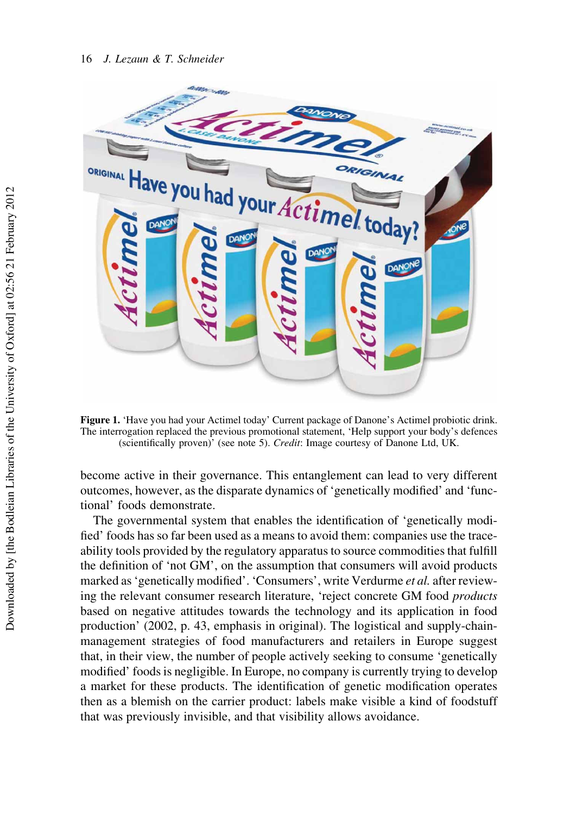

Figure 1. 'Have you had your Actimel today' Current package of Danone's Actimel probiotic drink. The interrogation replaced the previous promotional statement, 'Help support your body's defences (scientifically proven)' (see note 5). Credit: Image courtesy of Danone Ltd, UK.

become active in their governance. This entanglement can lead to very different outcomes, however, as the disparate dynamics of 'genetically modified' and 'functional' foods demonstrate.

The governmental system that enables the identification of 'genetically modified' foods has so far been used as a means to avoid them: companies use the traceability tools provided by the regulatory apparatus to source commodities that fulfill the definition of 'not GM', on the assumption that consumers will avoid products marked as 'genetically modified'. 'Consumers', write Verdurme et al. after reviewing the relevant consumer research literature, 'reject concrete GM food products based on negative attitudes towards the technology and its application in food production' (2002, p. 43, emphasis in original). The logistical and supply-chainmanagement strategies of food manufacturers and retailers in Europe suggest that, in their view, the number of people actively seeking to consume 'genetically modified' foods is negligible. In Europe, no company is currently trying to develop a market for these products. The identification of genetic modification operates then as a blemish on the carrier product: labels make visible a kind of foodstuff that was previously invisible, and that visibility allows avoidance.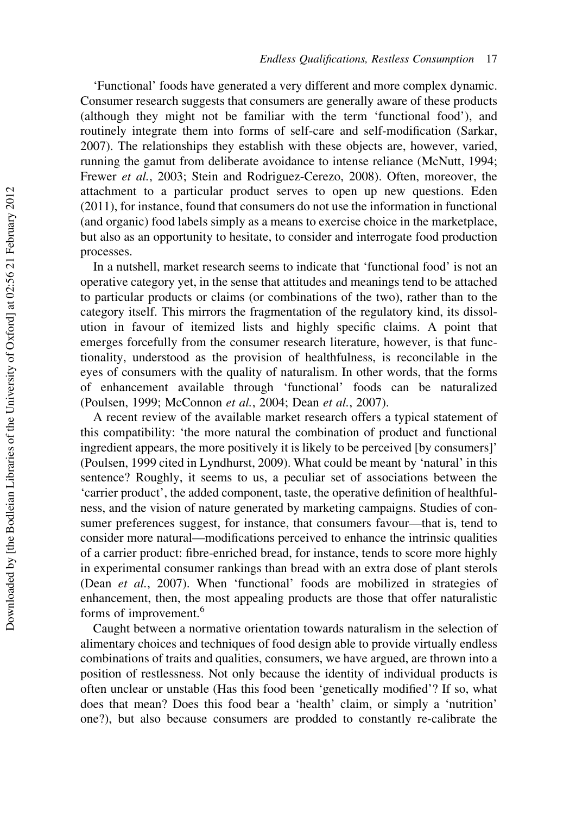'Functional' foods have generated a very different and more complex dynamic. Consumer research suggests that consumers are generally aware of these products (although they might not be familiar with the term 'functional food'), and routinely integrate them into forms of self-care and self-modification (Sarkar, 2007). The relationships they establish with these objects are, however, varied, running the gamut from deliberate avoidance to intense reliance (McNutt, 1994; Frewer et al., 2003; Stein and Rodriguez-Cerezo, 2008). Often, moreover, the attachment to a particular product serves to open up new questions. Eden (2011), for instance, found that consumers do not use the information in functional (and organic) food labels simply as a means to exercise choice in the marketplace, but also as an opportunity to hesitate, to consider and interrogate food production processes.

In a nutshell, market research seems to indicate that 'functional food' is not an operative category yet, in the sense that attitudes and meanings tend to be attached to particular products or claims (or combinations of the two), rather than to the category itself. This mirrors the fragmentation of the regulatory kind, its dissolution in favour of itemized lists and highly specific claims. A point that emerges forcefully from the consumer research literature, however, is that functionality, understood as the provision of healthfulness, is reconcilable in the eyes of consumers with the quality of naturalism. In other words, that the forms of enhancement available through 'functional' foods can be naturalized (Poulsen, 1999; McConnon et al., 2004; Dean et al., 2007).

A recent review of the available market research offers a typical statement of this compatibility: 'the more natural the combination of product and functional ingredient appears, the more positively it is likely to be perceived [by consumers]' (Poulsen, 1999 cited in Lyndhurst, 2009). What could be meant by 'natural' in this sentence? Roughly, it seems to us, a peculiar set of associations between the 'carrier product', the added component, taste, the operative definition of healthfulness, and the vision of nature generated by marketing campaigns. Studies of consumer preferences suggest, for instance, that consumers favour—that is, tend to consider more natural—modifications perceived to enhance the intrinsic qualities of a carrier product: fibre-enriched bread, for instance, tends to score more highly in experimental consumer rankings than bread with an extra dose of plant sterols (Dean et al., 2007). When 'functional' foods are mobilized in strategies of enhancement, then, the most appealing products are those that offer naturalistic forms of improvement.<sup>6</sup>

Caught between a normative orientation towards naturalism in the selection of alimentary choices and techniques of food design able to provide virtually endless combinations of traits and qualities, consumers, we have argued, are thrown into a position of restlessness. Not only because the identity of individual products is often unclear or unstable (Has this food been 'genetically modified'? If so, what does that mean? Does this food bear a 'health' claim, or simply a 'nutrition' one?), but also because consumers are prodded to constantly re-calibrate the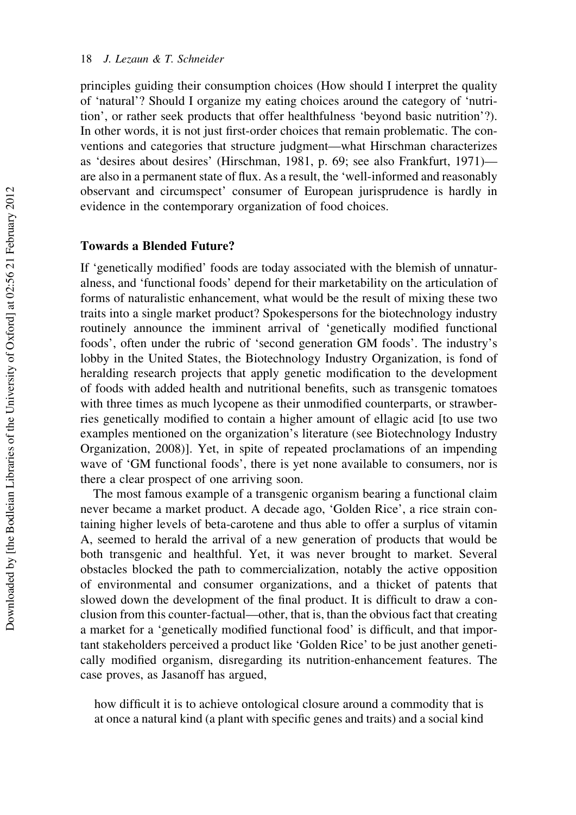principles guiding their consumption choices (How should I interpret the quality of 'natural'? Should I organize my eating choices around the category of 'nutrition', or rather seek products that offer healthfulness 'beyond basic nutrition'?). In other words, it is not just first-order choices that remain problematic. The conventions and categories that structure judgment—what Hirschman characterizes as 'desires about desires' (Hirschman, 1981, p. 69; see also Frankfurt, 1971) are also in a permanent state of flux. As a result, the 'well-informed and reasonably observant and circumspect' consumer of European jurisprudence is hardly in evidence in the contemporary organization of food choices.

#### Towards a Blended Future?

If 'genetically modified' foods are today associated with the blemish of unnaturalness, and 'functional foods' depend for their marketability on the articulation of forms of naturalistic enhancement, what would be the result of mixing these two traits into a single market product? Spokespersons for the biotechnology industry routinely announce the imminent arrival of 'genetically modified functional foods', often under the rubric of 'second generation GM foods'. The industry's lobby in the United States, the Biotechnology Industry Organization, is fond of heralding research projects that apply genetic modification to the development of foods with added health and nutritional benefits, such as transgenic tomatoes with three times as much lycopene as their unmodified counterparts, or strawberries genetically modified to contain a higher amount of ellagic acid [to use two examples mentioned on the organization's literature (see Biotechnology Industry Organization, 2008)]. Yet, in spite of repeated proclamations of an impending wave of 'GM functional foods', there is yet none available to consumers, nor is there a clear prospect of one arriving soon.

The most famous example of a transgenic organism bearing a functional claim never became a market product. A decade ago, 'Golden Rice', a rice strain containing higher levels of beta-carotene and thus able to offer a surplus of vitamin A, seemed to herald the arrival of a new generation of products that would be both transgenic and healthful. Yet, it was never brought to market. Several obstacles blocked the path to commercialization, notably the active opposition of environmental and consumer organizations, and a thicket of patents that slowed down the development of the final product. It is difficult to draw a conclusion from this counter-factual—other, that is, than the obvious fact that creating a market for a 'genetically modified functional food' is difficult, and that important stakeholders perceived a product like 'Golden Rice' to be just another genetically modified organism, disregarding its nutrition-enhancement features. The case proves, as Jasanoff has argued,

how difficult it is to achieve ontological closure around a commodity that is at once a natural kind (a plant with specific genes and traits) and a social kind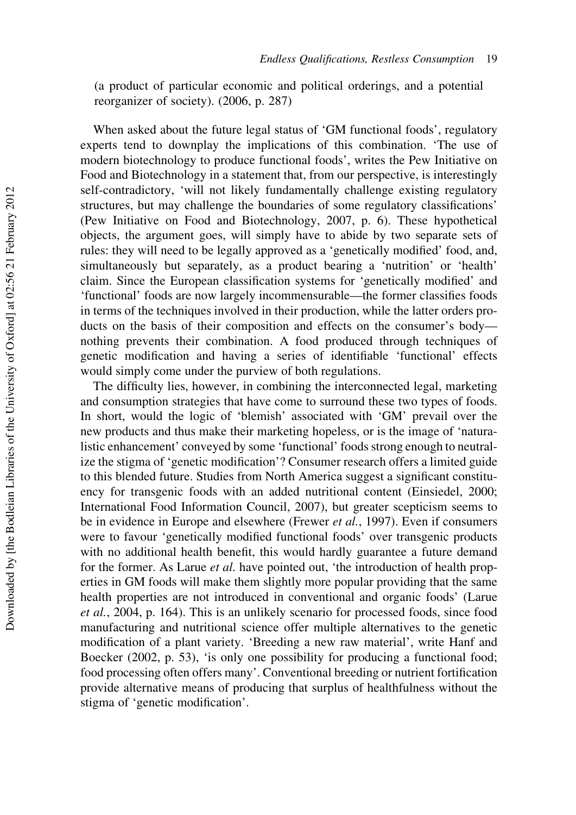(a product of particular economic and political orderings, and a potential reorganizer of society). (2006, p. 287)

When asked about the future legal status of 'GM functional foods', regulatory experts tend to downplay the implications of this combination. 'The use of modern biotechnology to produce functional foods', writes the Pew Initiative on Food and Biotechnology in a statement that, from our perspective, is interestingly self-contradictory, 'will not likely fundamentally challenge existing regulatory structures, but may challenge the boundaries of some regulatory classifications' (Pew Initiative on Food and Biotechnology, 2007, p. 6). These hypothetical objects, the argument goes, will simply have to abide by two separate sets of rules: they will need to be legally approved as a 'genetically modified' food, and, simultaneously but separately, as a product bearing a 'nutrition' or 'health' claim. Since the European classification systems for 'genetically modified' and 'functional' foods are now largely incommensurable—the former classifies foods in terms of the techniques involved in their production, while the latter orders products on the basis of their composition and effects on the consumer's body nothing prevents their combination. A food produced through techniques of genetic modification and having a series of identifiable 'functional' effects would simply come under the purview of both regulations.

The difficulty lies, however, in combining the interconnected legal, marketing and consumption strategies that have come to surround these two types of foods. In short, would the logic of 'blemish' associated with 'GM' prevail over the new products and thus make their marketing hopeless, or is the image of 'naturalistic enhancement' conveyed by some 'functional' foods strong enough to neutralize the stigma of 'genetic modification'? Consumer research offers a limited guide to this blended future. Studies from North America suggest a significant constituency for transgenic foods with an added nutritional content (Einsiedel, 2000; International Food Information Council, 2007), but greater scepticism seems to be in evidence in Europe and elsewhere (Frewer et al., 1997). Even if consumers were to favour 'genetically modified functional foods' over transgenic products with no additional health benefit, this would hardly guarantee a future demand for the former. As Larue et al. have pointed out, 'the introduction of health properties in GM foods will make them slightly more popular providing that the same health properties are not introduced in conventional and organic foods' (Larue et al., 2004, p. 164). This is an unlikely scenario for processed foods, since food manufacturing and nutritional science offer multiple alternatives to the genetic modification of a plant variety. 'Breeding a new raw material', write Hanf and Boecker (2002, p. 53), 'is only one possibility for producing a functional food; food processing often offers many'. Conventional breeding or nutrient fortification provide alternative means of producing that surplus of healthfulness without the stigma of 'genetic modification'.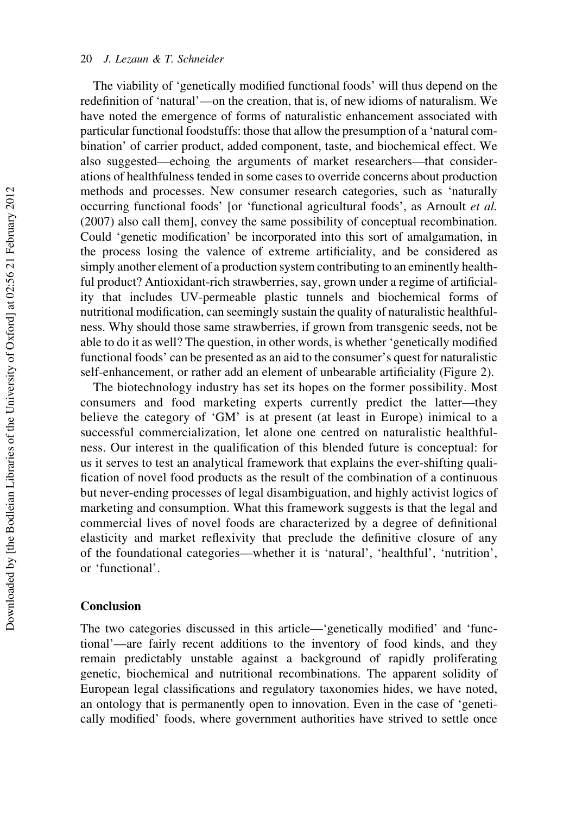The viability of 'genetically modified functional foods' will thus depend on the redefinition of 'natural'—on the creation, that is, of new idioms of naturalism. We have noted the emergence of forms of naturalistic enhancement associated with particular functional foodstuffs: those that allow the presumption of a 'natural combination' of carrier product, added component, taste, and biochemical effect. We also suggested—echoing the arguments of market researchers—that considerations of healthfulness tended in some cases to override concerns about production methods and processes. New consumer research categories, such as 'naturally occurring functional foods' [or 'functional agricultural foods', as Arnoult et al. (2007) also call them], convey the same possibility of conceptual recombination. Could 'genetic modification' be incorporated into this sort of amalgamation, in the process losing the valence of extreme artificiality, and be considered as simply another element of a production system contributing to an eminently healthful product? Antioxidant-rich strawberries, say, grown under a regime of artificiality that includes UV-permeable plastic tunnels and biochemical forms of nutritional modification, can seemingly sustain the quality of naturalistic healthfulness. Why should those same strawberries, if grown from transgenic seeds, not be able to do it as well? The question, in other words, is whether 'genetically modified functional foods' can be presented as an aid to the consumer's quest for naturalistic self-enhancement, or rather add an element of unbearable artificiality (Figure 2).

The biotechnology industry has set its hopes on the former possibility. Most consumers and food marketing experts currently predict the latter—they believe the category of 'GM' is at present (at least in Europe) inimical to a successful commercialization, let alone one centred on naturalistic healthfulness. Our interest in the qualification of this blended future is conceptual: for us it serves to test an analytical framework that explains the ever-shifting qualification of novel food products as the result of the combination of a continuous but never-ending processes of legal disambiguation, and highly activist logics of marketing and consumption. What this framework suggests is that the legal and commercial lives of novel foods are characterized by a degree of definitional elasticity and market reflexivity that preclude the definitive closure of any of the foundational categories—whether it is 'natural', 'healthful', 'nutrition', or 'functional'.

#### Conclusion

The two categories discussed in this article—'genetically modified' and 'functional'—are fairly recent additions to the inventory of food kinds, and they remain predictably unstable against a background of rapidly proliferating genetic, biochemical and nutritional recombinations. The apparent solidity of European legal classifications and regulatory taxonomies hides, we have noted, an ontology that is permanently open to innovation. Even in the case of 'genetically modified' foods, where government authorities have strived to settle once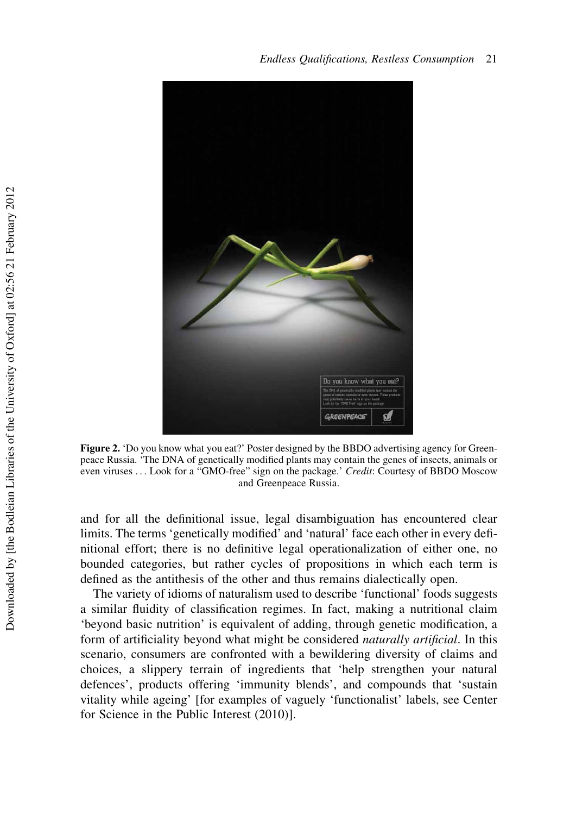

Figure 2. 'Do you know what you eat?' Poster designed by the BBDO advertising agency for Greenpeace Russia. 'The DNA of genetically modified plants may contain the genes of insects, animals or even viruses ... Look for a "GMO-free" sign on the package.' Credit: Courtesy of BBDO Moscow and Greenpeace Russia.

and for all the definitional issue, legal disambiguation has encountered clear limits. The terms 'genetically modified' and 'natural' face each other in every definitional effort; there is no definitive legal operationalization of either one, no bounded categories, but rather cycles of propositions in which each term is defined as the antithesis of the other and thus remains dialectically open.

The variety of idioms of naturalism used to describe 'functional' foods suggests a similar fluidity of classification regimes. In fact, making a nutritional claim 'beyond basic nutrition' is equivalent of adding, through genetic modification, a form of artificiality beyond what might be considered naturally artificial. In this scenario, consumers are confronted with a bewildering diversity of claims and choices, a slippery terrain of ingredients that 'help strengthen your natural defences', products offering 'immunity blends', and compounds that 'sustain vitality while ageing' [for examples of vaguely 'functionalist' labels, see Center for Science in the Public Interest (2010)].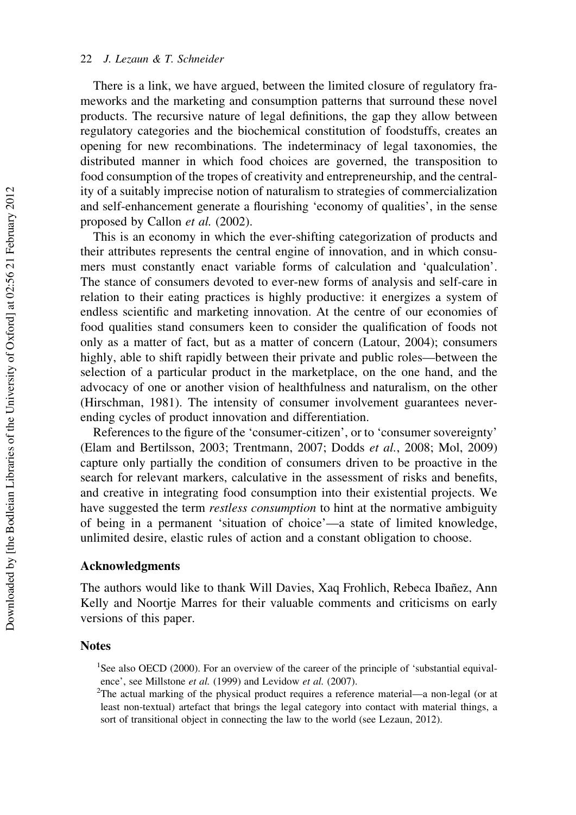There is a link, we have argued, between the limited closure of regulatory frameworks and the marketing and consumption patterns that surround these novel products. The recursive nature of legal definitions, the gap they allow between regulatory categories and the biochemical constitution of foodstuffs, creates an opening for new recombinations. The indeterminacy of legal taxonomies, the distributed manner in which food choices are governed, the transposition to food consumption of the tropes of creativity and entrepreneurship, and the centrality of a suitably imprecise notion of naturalism to strategies of commercialization and self-enhancement generate a flourishing 'economy of qualities', in the sense proposed by Callon et al. (2002).

This is an economy in which the ever-shifting categorization of products and their attributes represents the central engine of innovation, and in which consumers must constantly enact variable forms of calculation and 'qualculation'. The stance of consumers devoted to ever-new forms of analysis and self-care in relation to their eating practices is highly productive: it energizes a system of endless scientific and marketing innovation. At the centre of our economies of food qualities stand consumers keen to consider the qualification of foods not only as a matter of fact, but as a matter of concern (Latour, 2004); consumers highly, able to shift rapidly between their private and public roles—between the selection of a particular product in the marketplace, on the one hand, and the advocacy of one or another vision of healthfulness and naturalism, on the other (Hirschman, 1981). The intensity of consumer involvement guarantees neverending cycles of product innovation and differentiation.

References to the figure of the 'consumer-citizen', or to 'consumer sovereignty' (Elam and Bertilsson, 2003; Trentmann, 2007; Dodds et al., 2008; Mol, 2009) capture only partially the condition of consumers driven to be proactive in the search for relevant markers, calculative in the assessment of risks and benefits, and creative in integrating food consumption into their existential projects. We have suggested the term *restless consumption* to hint at the normative ambiguity of being in a permanent 'situation of choice'—a state of limited knowledge, unlimited desire, elastic rules of action and a constant obligation to choose.

#### Acknowledgments

The authors would like to thank Will Davies, Xaq Frohlich, Rebeca Ibanez, Ann Kelly and Noortje Marres for their valuable comments and criticisms on early versions of this paper.

#### Notes

<sup>&</sup>lt;sup>1</sup>See also OECD (2000). For an overview of the career of the principle of 'substantial equivalence', see Millstone et al. (1999) and Levidow et al. (2007).

<sup>&</sup>lt;sup>2</sup>The actual marking of the physical product requires a reference material—a non-legal (or at least non-textual) artefact that brings the legal category into contact with material things, a sort of transitional object in connecting the law to the world (see Lezaun, 2012).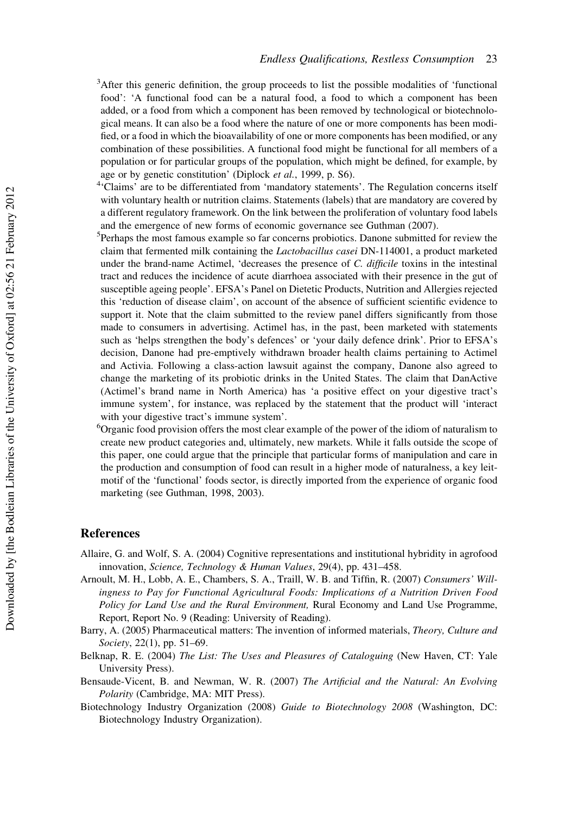<sup>3</sup>After this generic definition, the group proceeds to list the possible modalities of 'functional food': 'A functional food can be a natural food, a food to which a component has been added, or a food from which a component has been removed by technological or biotechnological means. It can also be a food where the nature of one or more components has been modified, or a food in which the bioavailability of one or more components has been modified, or any combination of these possibilities. A functional food might be functional for all members of a population or for particular groups of the population, which might be defined, for example, by age or by genetic constitution' (Diplock et al., 1999, p. S6).

<sup>4</sup>'Claims' are to be differentiated from 'mandatory statements'. The Regulation concerns itself with voluntary health or nutrition claims. Statements (labels) that are mandatory are covered by a different regulatory framework. On the link between the proliferation of voluntary food labels and the emergence of new forms of economic governance see Guthman (2007).

<sup>5</sup>Perhaps the most famous example so far concerns probiotics. Danone submitted for review the claim that fermented milk containing the Lactobacillus casei DN-114001, a product marketed under the brand-name Actimel, 'decreases the presence of C. difficile toxins in the intestinal tract and reduces the incidence of acute diarrhoea associated with their presence in the gut of susceptible ageing people'. EFSA's Panel on Dietetic Products, Nutrition and Allergies rejected this 'reduction of disease claim', on account of the absence of sufficient scientific evidence to support it. Note that the claim submitted to the review panel differs significantly from those made to consumers in advertising. Actimel has, in the past, been marketed with statements such as 'helps strengthen the body's defences' or 'your daily defence drink'. Prior to EFSA's decision, Danone had pre-emptively withdrawn broader health claims pertaining to Actimel and Activia. Following a class-action lawsuit against the company, Danone also agreed to change the marketing of its probiotic drinks in the United States. The claim that DanActive (Actimel's brand name in North America) has 'a positive effect on your digestive tract's immune system', for instance, was replaced by the statement that the product will 'interact with your digestive tract's immune system'.

<sup>6</sup>Organic food provision offers the most clear example of the power of the idiom of naturalism to create new product categories and, ultimately, new markets. While it falls outside the scope of this paper, one could argue that the principle that particular forms of manipulation and care in the production and consumption of food can result in a higher mode of naturalness, a key leitmotif of the 'functional' foods sector, is directly imported from the experience of organic food marketing (see Guthman, 1998, 2003).

#### References

- Allaire, G. and Wolf, S. A. (2004) Cognitive representations and institutional hybridity in agrofood innovation, Science, Technology & Human Values, 29(4), pp. 431–458.
- Arnoult, M. H., Lobb, A. E., Chambers, S. A., Traill, W. B. and Tiffin, R. (2007) Consumers' Willingness to Pay for Functional Agricultural Foods: Implications of a Nutrition Driven Food Policy for Land Use and the Rural Environment, Rural Economy and Land Use Programme, Report, Report No. 9 (Reading: University of Reading).
- Barry, A. (2005) Pharmaceutical matters: The invention of informed materials, Theory, Culture and Society, 22(1), pp. 51–69.
- Belknap, R. E. (2004) The List: The Uses and Pleasures of Cataloguing (New Haven, CT: Yale University Press).
- Bensaude-Vicent, B. and Newman, W. R. (2007) The Artificial and the Natural: An Evolving Polarity (Cambridge, MA: MIT Press).
- Biotechnology Industry Organization (2008) Guide to Biotechnology 2008 (Washington, DC: Biotechnology Industry Organization).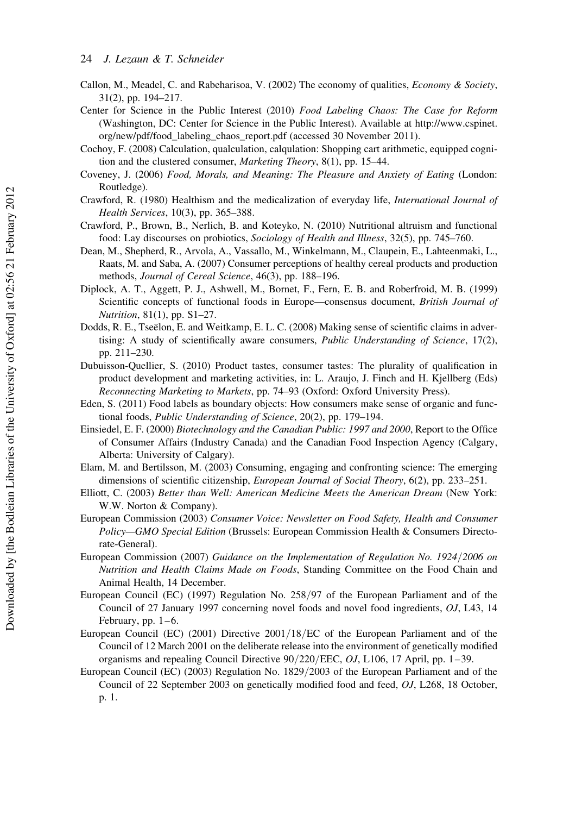- Callon, M., Meadel, C. and Rabeharisoa, V. (2002) The economy of qualities, Economy & Society, 31(2), pp. 194–217.
- Center for Science in the Public Interest (2010) Food Labeling Chaos: The Case for Reform (Washington, DC: Center for Science in the Public Interest). Available at http://www.cspinet. org/new/pdf/food\_labeling\_chaos\_report.pdf (accessed 30 November 2011).
- Cochoy, F. (2008) Calculation, qualculation, calqulation: Shopping cart arithmetic, equipped cognition and the clustered consumer, Marketing Theory, 8(1), pp. 15–44.
- Coveney, J. (2006) Food, Morals, and Meaning: The Pleasure and Anxiety of Eating (London: Routledge).
- Crawford, R. (1980) Healthism and the medicalization of everyday life, International Journal of Health Services, 10(3), pp. 365–388.
- Crawford, P., Brown, B., Nerlich, B. and Koteyko, N. (2010) Nutritional altruism and functional food: Lay discourses on probiotics, Sociology of Health and Illness, 32(5), pp. 745–760.
- Dean, M., Shepherd, R., Arvola, A., Vassallo, M., Winkelmann, M., Claupein, E., Lahteenmaki, L., Raats, M. and Saba, A. (2007) Consumer perceptions of healthy cereal products and production methods, Journal of Cereal Science, 46(3), pp. 188–196.
- Diplock, A. T., Aggett, P. J., Ashwell, M., Bornet, F., Fern, E. B. and Roberfroid, M. B. (1999) Scientific concepts of functional foods in Europe—consensus document, British Journal of Nutrition, 81(1), pp. S1–27.
- Dodds, R. E., Tseëlon, E. and Weitkamp, E. L. C. (2008) Making sense of scientific claims in advertising: A study of scientifically aware consumers, Public Understanding of Science, 17(2), pp. 211–230.
- Dubuisson-Quellier, S. (2010) Product tastes, consumer tastes: The plurality of qualification in product development and marketing activities, in: L. Araujo, J. Finch and H. Kjellberg (Eds) Reconnecting Marketing to Markets, pp. 74–93 (Oxford: Oxford University Press).
- Eden, S. (2011) Food labels as boundary objects: How consumers make sense of organic and functional foods, Public Understanding of Science, 20(2), pp. 179–194.
- Einsiedel, E. F. (2000) Biotechnology and the Canadian Public: 1997 and 2000, Report to the Office of Consumer Affairs (Industry Canada) and the Canadian Food Inspection Agency (Calgary, Alberta: University of Calgary).
- Elam, M. and Bertilsson, M. (2003) Consuming, engaging and confronting science: The emerging dimensions of scientific citizenship, *European Journal of Social Theory*, 6(2), pp. 233–251.
- Elliott, C. (2003) Better than Well: American Medicine Meets the American Dream (New York: W.W. Norton & Company).
- European Commission (2003) Consumer Voice: Newsletter on Food Safety, Health and Consumer Policy—GMO Special Edition (Brussels: European Commission Health & Consumers Directorate-General).
- European Commission (2007) Guidance on the Implementation of Regulation No. 1924/2006 on Nutrition and Health Claims Made on Foods, Standing Committee on the Food Chain and Animal Health, 14 December.
- European Council (EC) (1997) Regulation No. 258/97 of the European Parliament and of the Council of 27 January 1997 concerning novel foods and novel food ingredients, OJ, L43, 14 February, pp.  $1-6$ .
- European Council (EC) (2001) Directive 2001/18/EC of the European Parliament and of the Council of 12 March 2001 on the deliberate release into the environment of genetically modified organisms and repealing Council Directive 90/220/EEC, OJ, L106, 17 April, pp. 1–39.
- European Council (EC) (2003) Regulation No. 1829/2003 of the European Parliament and of the Council of 22 September 2003 on genetically modified food and feed, OJ, L268, 18 October, p. 1.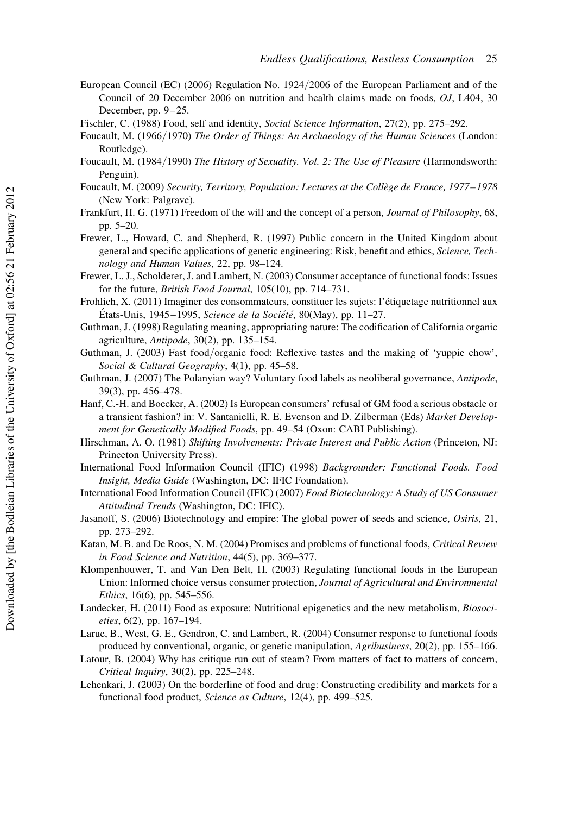- European Council (EC) (2006) Regulation No. 1924/2006 of the European Parliament and of the Council of 20 December 2006 on nutrition and health claims made on foods, OJ, L404, 30 December, pp. 9–25.
- Fischler, C. (1988) Food, self and identity, Social Science Information, 27(2), pp. 275–292.
- Foucault, M. (1966/1970) The Order of Things: An Archaeology of the Human Sciences (London: Routledge).
- Foucault, M. (1984/1990) The History of Sexuality. Vol. 2: The Use of Pleasure (Harmondsworth: Penguin).
- Foucault, M. (2009) Security, Territory, Population: Lectures at the Collège de France, 1977–1978 (New York: Palgrave).
- Frankfurt, H. G. (1971) Freedom of the will and the concept of a person, Journal of Philosophy, 68, pp. 5–20.
- Frewer, L., Howard, C. and Shepherd, R. (1997) Public concern in the United Kingdom about general and specific applications of genetic engineering: Risk, benefit and ethics, Science, Technology and Human Values, 22, pp. 98–124.
- Frewer, L. J., Scholderer, J. and Lambert, N. (2003) Consumer acceptance of functional foods: Issues for the future, British Food Journal, 105(10), pp. 714–731.
- Frohlich, X. (2011) Imaginer des consommateurs, constituer les sujets: l'étiquetage nutritionnel aux États-Unis, 1945–1995, Science de la Société, 80(May), pp. 11–27.
- Guthman, J. (1998) Regulating meaning, appropriating nature: The codification of California organic agriculture, Antipode, 30(2), pp. 135–154.
- Guthman, J. (2003) Fast food/organic food: Reflexive tastes and the making of 'yuppie chow', Social & Cultural Geography, 4(1), pp. 45–58.
- Guthman, J. (2007) The Polanyian way? Voluntary food labels as neoliberal governance, Antipode, 39(3), pp. 456–478.
- Hanf, C.-H. and Boecker, A. (2002) Is European consumers' refusal of GM food a serious obstacle or a transient fashion? in: V. Santanielli, R. E. Evenson and D. Zilberman (Eds) Market Development for Genetically Modified Foods, pp. 49–54 (Oxon: CABI Publishing).
- Hirschman, A. O. (1981) Shifting Involvements: Private Interest and Public Action (Princeton, NJ: Princeton University Press).
- International Food Information Council (IFIC) (1998) Backgrounder: Functional Foods. Food Insight, Media Guide (Washington, DC: IFIC Foundation).
- International Food Information Council (IFIC) (2007) Food Biotechnology: A Study of US Consumer Attitudinal Trends (Washington, DC: IFIC).
- Jasanoff, S. (2006) Biotechnology and empire: The global power of seeds and science, Osiris, 21, pp. 273–292.
- Katan, M. B. and De Roos, N. M. (2004) Promises and problems of functional foods, Critical Review in Food Science and Nutrition, 44(5), pp. 369–377.
- Klompenhouwer, T. and Van Den Belt, H. (2003) Regulating functional foods in the European Union: Informed choice versus consumer protection, Journal of Agricultural and Environmental Ethics, 16(6), pp. 545–556.
- Landecker, H. (2011) Food as exposure: Nutritional epigenetics and the new metabolism, Biosocieties, 6(2), pp. 167–194.
- Larue, B., West, G. E., Gendron, C. and Lambert, R. (2004) Consumer response to functional foods produced by conventional, organic, or genetic manipulation, Agribusiness, 20(2), pp. 155–166.
- Latour, B. (2004) Why has critique run out of steam? From matters of fact to matters of concern, Critical Inquiry, 30(2), pp. 225–248.
- Lehenkari, J. (2003) On the borderline of food and drug: Constructing credibility and markets for a functional food product, Science as Culture, 12(4), pp. 499–525.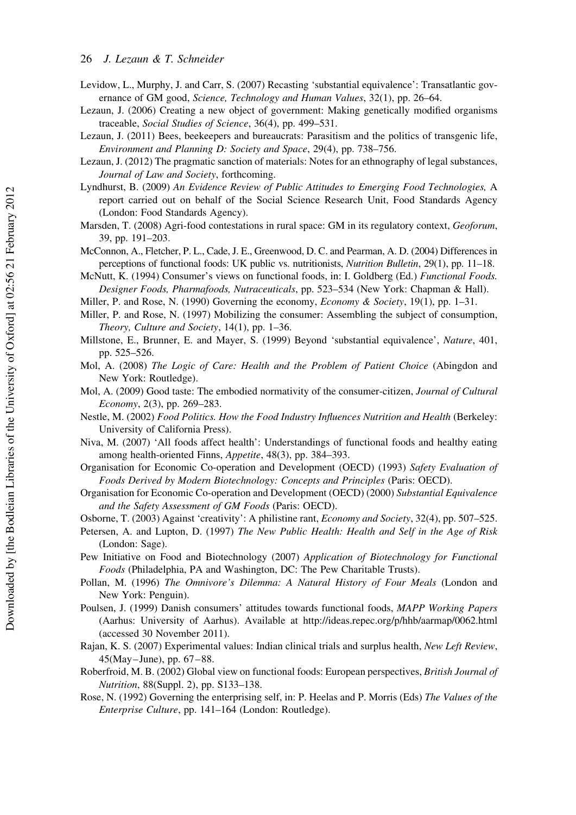- Levidow, L., Murphy, J. and Carr, S. (2007) Recasting 'substantial equivalence': Transatlantic governance of GM good, Science, Technology and Human Values, 32(1), pp. 26–64.
- Lezaun, J. (2006) Creating a new object of government: Making genetically modified organisms traceable, Social Studies of Science, 36(4), pp. 499–531.
- Lezaun, J. (2011) Bees, beekeepers and bureaucrats: Parasitism and the politics of transgenic life, Environment and Planning D: Society and Space, 29(4), pp. 738–756.
- Lezaun, J. (2012) The pragmatic sanction of materials: Notes for an ethnography of legal substances, Journal of Law and Society, forthcoming.
- Lyndhurst, B. (2009) An Evidence Review of Public Attitudes to Emerging Food Technologies, A report carried out on behalf of the Social Science Research Unit, Food Standards Agency (London: Food Standards Agency).
- Marsden, T. (2008) Agri-food contestations in rural space: GM in its regulatory context, Geoforum, 39, pp. 191–203.
- McConnon, A., Fletcher, P. L., Cade, J. E., Greenwood, D. C. and Pearman, A. D. (2004) Differences in perceptions of functional foods: UK public vs. nutritionists, Nutrition Bulletin, 29(1), pp. 11–18.
- McNutt, K. (1994) Consumer's views on functional foods, in: I. Goldberg (Ed.) Functional Foods. Designer Foods, Pharmafoods, Nutraceuticals, pp. 523–534 (New York: Chapman & Hall).
- Miller, P. and Rose, N. (1990) Governing the economy, *Economy & Society*, 19(1), pp. 1–31.
- Miller, P. and Rose, N. (1997) Mobilizing the consumer: Assembling the subject of consumption, Theory, Culture and Society, 14(1), pp. 1–36.
- Millstone, E., Brunner, E. and Mayer, S. (1999) Beyond 'substantial equivalence', Nature, 401, pp. 525–526.
- Mol, A. (2008) The Logic of Care: Health and the Problem of Patient Choice (Abingdon and New York: Routledge).
- Mol, A. (2009) Good taste: The embodied normativity of the consumer-citizen, Journal of Cultural Economy, 2(3), pp. 269–283.
- Nestle, M. (2002) Food Politics. How the Food Industry Influences Nutrition and Health (Berkeley: University of California Press).
- Niva, M. (2007) 'All foods affect health': Understandings of functional foods and healthy eating among health-oriented Finns, Appetite, 48(3), pp. 384–393.
- Organisation for Economic Co-operation and Development (OECD) (1993) Safety Evaluation of Foods Derived by Modern Biotechnology: Concepts and Principles (Paris: OECD).
- Organisation for Economic Co-operation and Development (OECD) (2000) Substantial Equivalence and the Safety Assessment of GM Foods (Paris: OECD).
- Osborne, T. (2003) Against 'creativity': A philistine rant, Economy and Society, 32(4), pp. 507–525.
- Petersen, A. and Lupton, D. (1997) The New Public Health: Health and Self in the Age of Risk (London: Sage).
- Pew Initiative on Food and Biotechnology (2007) Application of Biotechnology for Functional Foods (Philadelphia, PA and Washington, DC: The Pew Charitable Trusts).
- Pollan, M. (1996) The Omnivore's Dilemma: A Natural History of Four Meals (London and New York: Penguin).
- Poulsen, J. (1999) Danish consumers' attitudes towards functional foods, MAPP Working Papers (Aarhus: University of Aarhus). Available at http://ideas.repec.org/p/hhb/aarmap/0062.html (accessed 30 November 2011).
- Rajan, K. S. (2007) Experimental values: Indian clinical trials and surplus health, New Left Review, 45(May– June), pp. 67–88.
- Roberfroid, M. B. (2002) Global view on functional foods: European perspectives, British Journal of Nutrition, 88(Suppl. 2), pp. S133–138.
- Rose, N. (1992) Governing the enterprising self, in: P. Heelas and P. Morris (Eds) The Values of the Enterprise Culture, pp. 141–164 (London: Routledge).